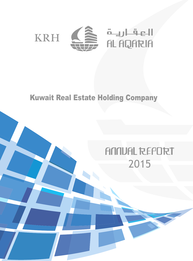

# Kuwait Real Estate Holding Company

# **ANNUAL REPORT** 2015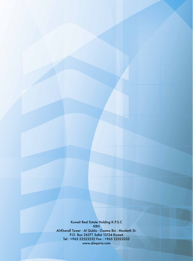Kuwait Real Estate Holding K.P.S.C KRH Al-Kharafi Tower - Al Qubla - Osama Bin - Monketh St. P.O. Box 26371 Safat 13124 Kuwait Tel : +965 22323232 Fax : +965 22323233 www.alaqaria.com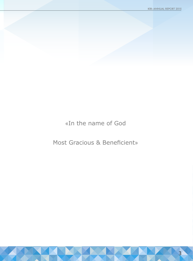«In the name of God

## Most Gracious & Beneficient»

3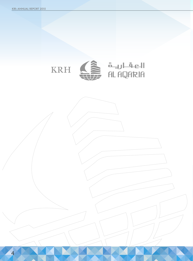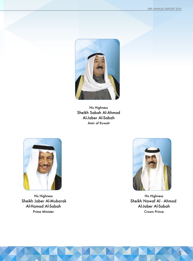

His Highness Sheikh Sabah Al-Ahmad Al-Jaber Al-Sabah Amir of Kuwait



His Highness Sheikh Jaber Al-Mubarak Al-Hamad Al-Sabah Prime Minister



His Highness Sheikh Nawaf Al - Ahmad Al-Jaber Al-Sabah Crown Prince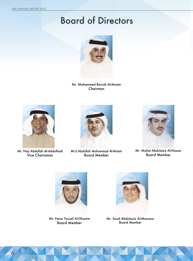# Board of Directors



Mr. Mohammed Barrak Al-Mutair Chairman



Mr. Naji Abdullah Al-Abdulhadi Vice Chairaman



Mr. Abdullah Mohammad Al-Mutair Board Member



Mr. Mishal Abdulaziz Al-Nassar Board Member



Mr. Feras Yousef Al-Ghanim Board Member



Mr. Soud Abdulaziz Al-Mansour Board Member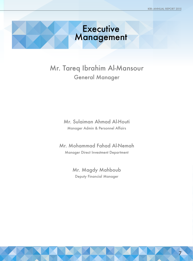

# Mr. Tareq Ibrahim Al-Mansour General Manager

Mr. Sulaiman Ahmad Al-Houti Manager Admin & Personnel Affairs

Mr. Mohammad Fahad Al-Nemah Manager Direct Investment Department

> Mr. Magdy Mahboub Deputy Financial Manager

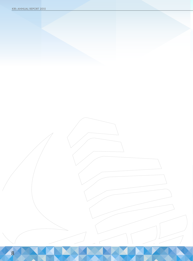

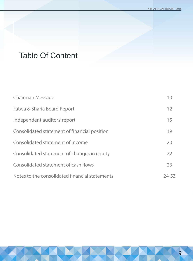# Table Of Content

| <b>Chairman Message</b>                        | 10    |
|------------------------------------------------|-------|
| Fatwa & Sharia Board Report                    | 12    |
| Independent auditors' report                   | 15    |
| Consolidated statement of financial position   | 19    |
| Consolidated statement of income               | 20    |
| Consolidated statement of changes in equity    | 22    |
| Consolidated statement of cash flows           | 23    |
| Notes to the consolidated financial statements | 24-53 |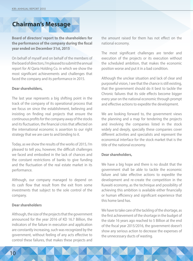# **Chairman's Message**

**Board of directors' report to the shareholders for the performance of the company during the fiscal year ended on December 31st, 2015**

On behalf of myself and on behalf of the members of the board of directors, I'm pleased to submit the annual report for Al Qaria Holding Co. in which we show the most significant achievements and challenges that faced the company and its performance in 2015.

#### **Dear shareholders,**

The last year represents a big shifting point in the track of the company of its operational process that we focus on since the establishment, believing and insisting on finding real projects that ensure the continuous profits for the company away of the stocks and its fluctuation, the financial crisis that affected on the international economic is assertion to our right strategy that we are care to and binding to it.

Today, as we show the results of the works of 2015, I'm pleased to tell you, however, the difficult challenges we faced and embodied in the lack of chances and the constant restrictions of banks to give funding and the fluctuation of the real estate market in its performance.

Although, our company managed to depend on its cash flow that result from the exit from some investments that subject to the sole control of the company.

#### **Dear shareholders**

Although, the size of the projects that the government announced for the year 2016 of KD 16.7 Billion, the indicators of the failure in execution and application are constantly increasing, such was recognized by the government, without feeling of any acts effective to control these failures, that makes these projects and

the amount raised for them has not effect on the national economy.

The most significant challenges are tender and execution of the projects or its execution without the scheduled ambition, that makes the economic position worse and put it in a bad condition.

Although the unclear situation and lack of clear and purposeful vision, I see that the chance is still existing, that the government should do it best to tackle the Chronic failures that its side effects become bigger every year on the national economic through prompt and effective actions to expedite the development.

We are looking forward to, the government views the planning and a map for tendering the projects and involving the companies listed in the stock widely and deeply, specially these companies cover different activities and specialists and represent the economical interface for the stock market that is the title of the national economy.

#### **Dear shareholders,**

We have a big hope and there is no doubt that the government shall be able to tackle the economic failure and take effective actions to expedite the development and re-create the competition in the Kuwaiti economy, as the technique and possibility of achieving this ambition is available either financially or human efficiency and significant experience that this home land has.

We have to take care of the tackling of the shortage, as the first achievement of the shortage in the budget of the state 16 years ago reached to 5 Billion at the end of the fiscal year 2015/2016, the government doesn't show any serious action to decrease the expenses of the unnecessary ducts of wasting.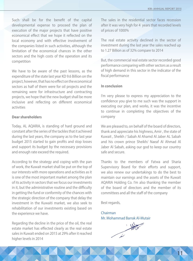Such shall be for the benefit of the capital developmental expense to proceed the plan of execution of the major projects that have positive economical effect that we hope it reflected on the local economy and with effective involvement of the companies listed in such activities, although the limitation of the economical chances in the other sectors and the high costs of the operation and its competition

We have to be aware of the past lessons, as the expenditure of the state last year KD 9.6 Billion on the project, however, that has no effect on the economical sectors as half of them were for oil projects and the remaining were for infrastructure and contracting projects, we hope that the new budget shall be more inclusive and reflecting on different economical activities

#### **Dear shareholders**

Today, AL AQARIA, is standing of hard ground and constant after the series of the tackles that it achieved during the last years, the company as to the last year budget 2015 started to gain profits and stop losses and support its budget by the necessary provisions and enough rate exceed the required.

According to the strategy and coping with the pan of work, the Kuwait market shall be put on the top of our interests with more operations and activities as it is one of the most important market among the plan of its activity in sectors that we focus our investments in it, but the administrative routine and the difficulty in getting the fund or conformity of the chances with the strategic direction of the company that delay the investment in the Kuwaiti market, we also seek to rehabilitation of our investments existing based on the experience we have.

Regarding the decline in the price of the oil, the real estate market has effected clearly as the real estate sales in Kuwait ended on 2015 at 29% after it reached higher levels in 2014

The sales in the residential sector faces recession after it was very high for 4 years that recorded levels of prices of 1000%

The real estate activity declined in the sector of investment during the last year the sales reached up to 1.27 Billion as of 32% compare to 2014

But, the commercial real estate sector recorded good performance comparing with other sectors as a result of high demand in this sector in the indicator of the fiscal performance

#### **In conclusion**

I'm very please to express my appreciation to the confidence you give to me such was the support in executing our plan, and works, it was the incentive to continue in completing the objectives of the company

We are pleased to, on behalf of the board of directors, thank and appreciate his highness, Amir , the state of Kuwait , Sheikh / Sabah Al Ahamd Al Jaber AL Sabah and his crown prince Sheikh/ Naeaf Al Ahmad Al Jaber Al Sabah, asking our god to keep our country safe and secure.

Thanks to the members of Fatwa and Sharia Supervisory Board for their efforts and support, we also renew our undertakings to do the best to maintain our earnings and the assets of the Kuwait AQARIA Holding Co. I'm also thanking the member of the board of directors and the member of its committees and all the staff of the company

Best regards,

Chairman Mr. Mohammad Barrak Al-Mutair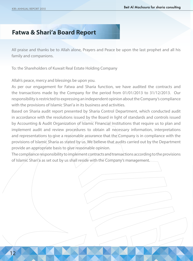## **Fatwa & Shari'a Board Report**

All praise and thanks be to Allah alone, Prayers and Peace be upon the last prophet and all his family and companions.

To: the Shareholders of Kuwait Real Estate Holding Company

Allah's peace, mercy and blessings be upon you.

As per our engagement for Fatwa and Sharia function, we have audited the contracts and the transactions made by the Company for the period from 01/01/2013 to 31/12/2013. Our responsibility is restricted to expressing an independent opinion about the Company's compliance with the provisions of Islamic Shari'a in its business and activities.

Based on Sharia audit report presented by Sharia Control Department, which conducted audit in accordance with the resolutions issued by the Board in light of standards and controls issued by Accounting & Audit Organization of Islamic Financial Institutions that require us to plan and implement audit and review procedures to obtain all necessary information, interpretations and representations to give a reasonable assurance that the Company is in compliance with the provisions of Islamic Sharia as stated by us. We believe that audits carried out by the Department provide an appropriate basis to give reasonable opinion.

The compliance responsibility to implement contracts and transactions according to the provisions of Islamic Shari'a as set out by us shall reside with the Company's management.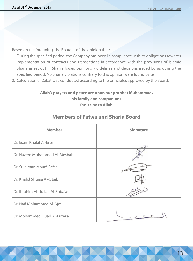Based on the foregoing, the Board is of the opinion that:

- 1. During the specified period, the Company has been in compliance with its obligations towards implementation of contracts and transactions in accordance with the provisions of Islamic Sharia as set out in Shari'a based opinions, guidelines and decisions issued by us during the specified period. No Sharia violations contrary to this opinion were found by us.
- 2. Calculation of Zakat was conducted according to the principles approved by the Board.

## **Allah's prayers and peace are upon our prophet Muhammad, his family and companions Praise be to Allah**

| <b>Member</b>                    | <b>Signature</b> |
|----------------------------------|------------------|
| Dr. Esam Khalaf Al-Enzi          |                  |
| Dr. Nazem Mohammed Al-Mesbah     |                  |
| Dr. Suleiman Marafi Safar        |                  |
| Dr. Khalid Shujaa Al-Otaibi      |                  |
| Dr. Ibrahim Abdullah Al-Subaiaei |                  |
| Dr. Naif Mohammed Al-Ajmi        |                  |
| Dr. Mohammed Ouad Al-Fuzai'a     |                  |

## **Members of Fatwa and Sharia Board**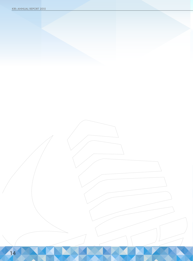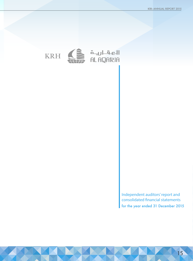

Independent auditors' report and consolidated financial statements for the year ended 31 December 2015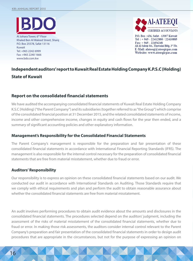#### KRh ANNUAL REPORT 2015



Al Johara Tower, 6<sup>th</sup> Floor Khaled Ben Al Waleed Street, Sharq P.O. Box 25578, Safat 13116 Kuwait Tel: +965 2242 6999 Fax: +965 2240 1666 www.bdo.com.kw



P.O. Box: 636, Safat - 13007 Kuwait Tel: +965 - 22412880 / 22410885  $Fax: + 965 - 22454248$ Ali Al-Salem Str., Thuwaini Bldg. 3<sup>zd</sup> Flr. E-Mail: alateeqi@ateeqicpas.com Website: www.ateeqicpas.com

## **Independent auditors' report to Kuwait Real Estate Holding Company K.P.S.C (Holding) State of Kuwait**

## **Report on the consolidated financial statements**

We have audited the accompanying consolidated financial statements of Kuwait Real Estate Holding Company K.S.C (Holding) ("the Parent Company") and its subsidiaries (together referred to as "the Group") which comprise of the consolidated financial position at 31 December 2015, and the related consolidated statements of income, income and other comprehensive income, changes in equity and cash flows for the year then ended, and a summary of significant accounting policies and other explanatory information.

#### **Management's Responsibility for the Consolidated Financial Statements**

The Parent Company's management is responsible for the preparation and fair presentation of these consolidated financial statements in accordance with International Financial Reporting Standards (IFRS). The management is also responsible for the internal control necessary for the preparation of consolidated financial statements that are free from material misstatement, whether due to fraud or error.

#### **Auditors' Responsibility**

Our responsibility is to express an opinion on these consolidated financial statements based on our audit. We conducted our audit in accordance with International Standards on Auditing. Those Standards require that we comply with ethical requirements and plan and perform the audit to obtain reasonable assurance about whether the consolidated financial statements are free from material misstatement.

An audit involves performing procedures to obtain audit evidence about the amounts and disclosures in the consolidated financial statements. The procedures selected depend on the auditors' judgment, including the assessment of the risks of material misstatement of the consolidated financial statements, whether due to fraud or error. In making those risk assessments, the auditors consider internal control relevant to the Parent Company's preparation and fair presentation of the consolidated financial statements in order to design audit procedures that are appropriate in the circumstances, but not for the purpose of expressing an opinion on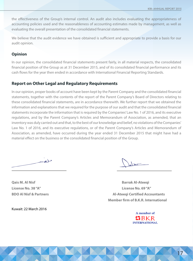the effectiveness of the Group's internal control. An audit also includes evaluating the appropriateness of accounting policies used and the reasonableness of accounting estimates made by management, as well as evaluating the overall presentation of the consolidated financial statements.

We believe that the audit evidence we have obtained is sufficient and appropriate to provide a basis for our audit opinion.

#### **Opinion**

In our opinion, the consolidated financial statements present fairly, in all material respects, the consolidated financial position of the Group as at 31 December 2015, and of its consolidated financial performance and its cash flows for the year then ended in accordance with International Financial Reporting Standards.

#### **Report on Other Legal and Regulatory Requirements**

In our opinion, proper books of account have been kept by the Parent Company and the consolidated financial statements, together with the contents of the report of the Parent Company's Board of Directors relating to these consolidated financial statements, are in accordance therewith. We further report that we obtained the information and explanations that we required for the purpose of our audit and that the consolidated financial statements incorporate the information that is required by the Companies' Law No. 1 of 2016, and its executive regulations, and by the Parent Company's Articles and Memorandum of Association, as amended, that an inventory was duly carried out and that, to the best of our knowledge and belief, no violations of the Companies' Law No. 1 of 2016, and its executive regulations, or of the Parent Company's Articles and Memorandum of Association, as amended, have occurred during the year ended 31 December 2015 that might have had a material effect on the business or the consolidated financial position of the Group.

.<br>م<u>لم</u>

Kuwait: 22 March 2016

**Qais M. Al Nisf Barrak Al-Ateeqi License No. 38 "A" License No. 69 "A" BDO Al Nisf & Partners Al-Ateeqi Certified Accountants Member firm of B.K.R. International**

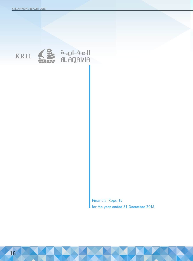

Financial Reports for the year ended 31 December 2015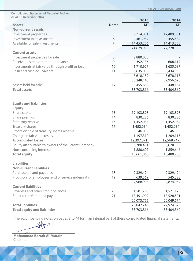Consolidated Statement of Financial Position As at 31 December 2015

|                                                                                                                                                                                                                                                                                                                                                |                      | 2015                                                                                                                               | 2014                                                                                                                               |
|------------------------------------------------------------------------------------------------------------------------------------------------------------------------------------------------------------------------------------------------------------------------------------------------------------------------------------------------|----------------------|------------------------------------------------------------------------------------------------------------------------------------|------------------------------------------------------------------------------------------------------------------------------------|
| <b>Assets</b>                                                                                                                                                                                                                                                                                                                                  | <b>Notes</b>         | <b>KD</b>                                                                                                                          | <b>KD</b>                                                                                                                          |
| <b>Non-current assets</b>                                                                                                                                                                                                                                                                                                                      |                      |                                                                                                                                    |                                                                                                                                    |
| Investment properties                                                                                                                                                                                                                                                                                                                          | 5                    | 9,714,801                                                                                                                          | 12,409,801                                                                                                                         |
| Investment in an associate                                                                                                                                                                                                                                                                                                                     | 6                    | 461,982                                                                                                                            | 455,584                                                                                                                            |
| Available for sale investments                                                                                                                                                                                                                                                                                                                 | $\overline{7}$       | 14,453,206                                                                                                                         | 14,413,200                                                                                                                         |
|                                                                                                                                                                                                                                                                                                                                                |                      | 24,629,989                                                                                                                         | 27,278,585                                                                                                                         |
| <b>Current assets</b>                                                                                                                                                                                                                                                                                                                          |                      |                                                                                                                                    |                                                                                                                                    |
| Investment properties for sale                                                                                                                                                                                                                                                                                                                 | 8                    | 2,880,000                                                                                                                          |                                                                                                                                    |
| Receivables and other debit balances                                                                                                                                                                                                                                                                                                           | 9                    | 392,136                                                                                                                            | 608,117                                                                                                                            |
| Investments at fair value through profit or loss                                                                                                                                                                                                                                                                                               | 10                   | 1,710,927                                                                                                                          | 1,635,087                                                                                                                          |
| Cash and cash equivalents                                                                                                                                                                                                                                                                                                                      | 11                   | 3,635,096                                                                                                                          | 3,434,909                                                                                                                          |
|                                                                                                                                                                                                                                                                                                                                                |                      | 8,618,159                                                                                                                          | 5,678,113                                                                                                                          |
|                                                                                                                                                                                                                                                                                                                                                |                      | 33,248,148                                                                                                                         | 32,956,698                                                                                                                         |
| Assets held for sale                                                                                                                                                                                                                                                                                                                           | 12                   | 455,668                                                                                                                            | 448,164                                                                                                                            |
| <b>Total assets</b>                                                                                                                                                                                                                                                                                                                            |                      | 33,703,816                                                                                                                         | 33,404,862                                                                                                                         |
| <b>Equity and liabilities</b><br><b>Equity</b><br>Share capital<br>Share premium<br>Statutory reserve<br>Treasury shares<br>Profits on sale of treasury shares reserve<br>Change in fair value reserve<br><b>Accumulated losses</b><br>Equity attributable to owners of the Parent Company<br>Non-controlling interests<br><b>Total equity</b> | 13<br>14<br>15<br>17 | 19,103,898<br>830,286<br>1,452,034<br>(1,452,034)<br>46,038<br>1,197,310<br>(12, 397, 071)<br>8,780,461<br>1,880,607<br>10,661,068 | 19,103,898<br>830,286<br>1,452,034<br>(1,452,034)<br>46,038<br>1,209,115<br>(12, 568, 747)<br>8,620,590<br>1,859,646<br>10,480,236 |
| <b>Liabilities</b><br><b>Non-current liabilities</b><br>Purchase of land payables<br>Provision for employees' end of service indemnity                                                                                                                                                                                                         | 18<br>19             | 2,329,424<br>639,569<br>2,968,993                                                                                                  | 2,329,424<br>545,528<br>2,874,952                                                                                                  |
| <b>Current liabilities</b>                                                                                                                                                                                                                                                                                                                     |                      |                                                                                                                                    |                                                                                                                                    |
| Payables and other credit balances                                                                                                                                                                                                                                                                                                             | 20                   | 1,581,763                                                                                                                          | 1,521,173                                                                                                                          |
| Short-term Murabaha payable                                                                                                                                                                                                                                                                                                                    | 21                   | 18,491,992                                                                                                                         | 18,528,501                                                                                                                         |
|                                                                                                                                                                                                                                                                                                                                                |                      | 20,073,755                                                                                                                         | 20,049,674                                                                                                                         |
| <b>Total liabilities</b>                                                                                                                                                                                                                                                                                                                       |                      | 23,042,748                                                                                                                         | 22,924,626                                                                                                                         |
| <b>Total equity and liabilities</b>                                                                                                                                                                                                                                                                                                            |                      | 33,703,816                                                                                                                         | 33,404,862                                                                                                                         |

The accompanying notes on pages 8 to 44 form an integral part of these consolidated financial statements.

41

**Mohammad Barrak Al-Mutair** Chairman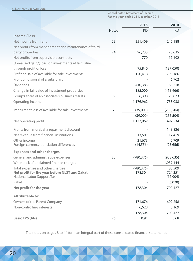Consolidated Statement of Income For the year ended 31 December 2015

|                                                      |              | 2015       | 2014       |
|------------------------------------------------------|--------------|------------|------------|
|                                                      | <b>Notes</b> | KD         | <b>KD</b>  |
| Income / loss                                        |              |            |            |
| Net income from rent                                 | 23           | 251,409    | 245,188    |
| Net profits from management and maintenance of third |              |            |            |
| party properties                                     | 24           | 96,735     | 78,635     |
| Net profits from supervision contracts               |              | 779        | 17,192     |
| Unrealised gain/(loss) on investments at fair value  |              |            |            |
| through profit or loss                               |              | 75,840     | (187,050)  |
| Profit on sale of available for sale investments     |              | 150,418    | 799,186    |
| Profit on disposal of a subsidiary                   |              |            | 6,762      |
| <b>Dividends</b>                                     |              | 410,383    | 183,218    |
| Change in fair value of investment properties        |              | 185,000    | (413,966)  |
| Group's share of an associate's business results     | 6            | 6,398      | 23,873     |
| Operating income                                     |              | 1,176,962  | 753,038    |
| Impairment loss of available for sale investments    | 7            | (39,000)   | (255, 504) |
|                                                      |              | (39,000)   | (255, 504) |
| Net operating profit                                 |              | 1,137,962  | 497,534    |
| Profits from murabaha repayment discount             |              |            | 148,836    |
| Net revenue from financial institutions              |              | 13,601     | 17,419     |
| Other income                                         |              | 21,673     | 2,709      |
| Foreign currency translation differences             |              | (14, 556)  | (25, 656)  |
| <b>Expenses and other charges</b>                    |              |            |            |
| General and administrative expenses                  | 25           | (980, 376) | (953, 635) |
| Write back of unclaimed finance charges              |              |            | 1,037,144  |
| Total expenses and other charges                     |              | (980, 376) | 83,509     |
| Net profit for the year before NLST and Zakat        |              | 178,304    | 724,351    |
| <b>National Labor Support Tax</b>                    |              |            | (17,904)   |
| Zakat                                                |              |            | (6,020)    |
| Net profit for the year                              |              | 178,304    | 700,427    |
| <b>Attributable to:</b>                              |              |            |            |
| Owners of the Parent Company                         |              | 171,676    | 692,258    |
| Non-controlling interests                            |              | 6,628      | 8,169      |
|                                                      |              | 178,304    | 700,427    |
| <b>Basic EPS (fils)</b>                              | 26           | 0.91       | 3.68       |

The notes on pages 8 to 44 form an integral part of these consolidated financial statements.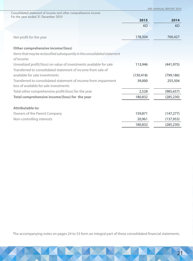| Consolidated statement of income and other comprehensive income |  |
|-----------------------------------------------------------------|--|
| For the year ended 31 December 2015                             |  |

| of the year ended of December ZOTO                                        | 2015       | 2014       |
|---------------------------------------------------------------------------|------------|------------|
|                                                                           | <b>KD</b>  | KD         |
|                                                                           |            |            |
| Net profit for the year                                                   | 178,304    | 700,427    |
|                                                                           |            |            |
| <b>Other comprehensive income/(loss)</b>                                  |            |            |
| Items that may be reclassified subsequently in the consolidated statement |            |            |
| of income:                                                                |            |            |
| Unrealized profit/(loss) on value of investments available for sale       | 113,946    | (441, 975) |
| Transferred to consolidated statement of income from sale of              |            |            |
| available for sale investments                                            | (150, 418) | (799, 186) |
| Transferred to consolidated statement of income from impairment           | 39,000     | 255,504    |
| loss of available for sale investments                                    |            |            |
| Total other comprehensive profit/(loss) for the year                      | 2,528      | (985, 657) |
| Total comprehensive income/(loss) for the year                            | 180,832    | (285, 230) |
|                                                                           |            |            |
| <b>Attributable to:</b>                                                   |            |            |
| <b>Owners of the Parent Company</b>                                       | 159,871    | (147, 277) |
| Non-controlling interests                                                 | 20,961     | (137, 953) |
|                                                                           | 180,832    | (285, 230) |

The accompanying notes on pages 24 to 53 form an integral part of these consolidated financial statements.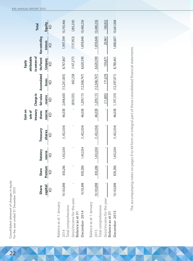|                                                        |            |             |           |             | Gain on  |            |                               | Equity       |                      |              |
|--------------------------------------------------------|------------|-------------|-----------|-------------|----------|------------|-------------------------------|--------------|----------------------|--------------|
|                                                        |            |             |           |             | sale of  |            |                               | attributable |                      |              |
|                                                        |            |             |           |             | treasury | Change in  |                               | to owners of |                      | <b>Total</b> |
|                                                        | Share      | Share       | Statutory | Treasury    | shares   | fair value | Accumulated                   | the Parent   | Non-controlling      |              |
|                                                        | capital    | Premium     | reserve   | shares      | reserve  | reserve    | losses                        | Company      | interests            | Equity       |
|                                                        | Q          | $\supseteq$ | Q         | Q           | Q        | Q          | $\overline{\mathsf{S}}$       | S            | Q                    | Q            |
| Balance as at 1 January                                |            |             |           |             |          |            |                               |              |                      |              |
| Total comprehensive<br>2014                            | 19,103,898 | 830,286     | 1,452,034 | (1,452,034) | 46,038   |            | 2,048,650 (13,261,005)        | 8,767,867    | 1,997,599            | 10,765,466   |
| (loss)/income for the year<br><b>Balance as at 31</b>  |            |             |           |             |          | (839,535)  | 692,258                       | (147, 277)   | (137, 953)           | (285, 230)   |
| December 2014                                          | 19,103,898 | 830,286     | 1,452,034 | (1,452,034) | 46,038   | 1,209,115  | (12,568,747)                  | 8,620,590    | 1,859,646            | 10,480,236   |
| Balance as at 1 January<br>Total comprehensive<br>2015 | 19,103,898 | 830,286     | 1,452,034 | (1,452,034) | 46,038   | 1,209,115  | (12,568,747)                  | 8,620,590    | 1,859,646            | 10,480,236   |
| (loss)/income for the year<br><b>Balance as at 31</b>  |            |             |           |             |          | (11, 805)  | 171,676                       | 159,871      | 20,961               | 180,832      |
| December 2015                                          | 19,103,898 | 830,286     | 1,452,034 | (1,452,034) |          |            | 46,038 1,197,310 (12,397,071) | 8,780,461    | 1,880,607 10,661,068 |              |
|                                                        |            |             |           |             |          |            |                               |              |                      |              |

The accompanying notes on pages 8 to 44 form an integral part of these consolidated financial statements. The accompanying notes on pages 8 to 44 form an integral part of these consolidated financial statements.

Consolidated statement of changes in equity For the year ended 31 December 2015

Consolidated statement of changes in equity For the year ended 31 December 2015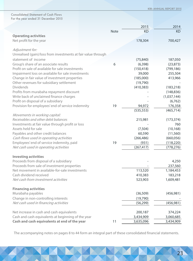Consolidated Statement of Cash Flows For the year ended 31 December 2015

|                                                                       |             | 2015       | 2014        |
|-----------------------------------------------------------------------|-------------|------------|-------------|
|                                                                       | <b>Note</b> | <b>KD</b>  | <b>KD</b>   |
| <b>Operating activities</b>                                           |             |            |             |
| Net profit for the year                                               |             | 178,304    | 700,427     |
|                                                                       |             |            |             |
| Adjustment for:                                                       |             |            |             |
| Unrealised (gain)/loss from investments at fair value through         |             |            |             |
| statement of income                                                   |             | (75, 840)  | 187,050     |
| Group's share of an associate results                                 | 6           | (6,398)    | (23, 873)   |
| Profit on sale of available for sale investments                      |             | (150, 418) | (799, 186)  |
| Impairment loss on available for sale investments                     |             | 39,000     | 255,504     |
| Change in fair value of investment properties                         |             | (185,000)  | 413,966     |
| Other revenues for subsidiary settlement                              |             | (19,790)   |             |
| <b>Dividends</b>                                                      |             | (410, 383) | (183, 218)  |
| Profits from murabaha repayment discount                              |             |            | (148, 836)  |
| Write back of unclaimed finance charges                               |             |            | (1,037,144) |
| Profit on disposal of a subsidiary                                    |             |            | (6, 762)    |
| Provision for employees' end of service indemnity                     | 19          | 94,972     | 176,358     |
|                                                                       |             | (535, 553) | (465, 714)  |
| Movements in working capital:<br>Receivables and other debit balances |             | 215,981    | (173, 374)  |
| Investments at fair value through profit or loss                      |             |            | 760         |
| Assets held for sale                                                  |             | (7,504)    | (10, 168)   |
| Payables and other credit balances                                    |             | 60,590     | (11, 560)   |
| Cash flows used in operating activities                               |             | (266, 486) | (660, 056)  |
| Employees' end of service indemnity, paid                             | 19          | (931)      | (118, 220)  |
| Net cash used in operating activities                                 |             | (267, 417) | (778, 276)  |
|                                                                       |             |            |             |
| <b>Investing activities</b>                                           |             |            |             |
| Proceeds from disposal of a subsidiary                                |             |            | 4,250       |
| Proceeds from sale of investment properties                           |             |            | 237,560     |
| Net movement in available-for-sale investments                        |             | 113,520    | 1,184,453   |
| Cash dividend received                                                |             | 410,383    | 183,218     |
| Net cash from investment activities                                   |             | 523,903    | 1,609,481   |
|                                                                       |             |            |             |
| <b>Financing activities</b>                                           |             |            |             |
| Murabaha payables                                                     |             | (36, 509)  | (456, 981)  |
| Change in non-controlling interests                                   |             | (19,790)   |             |
| Net cash used in financing activities                                 |             | (56, 299)  | (456, 981)  |
| Net increase in cash and cash equivalents                             |             | 200,187    | 374,224     |
| Cash and cash equivalents at beginning of the year                    |             | 3,434,909  | 3,060,685   |
| Cash and cash equivalents at end of the year                          | 11          | 3,635,096  | 3,434,909   |

The accompanying notes on pages 8 to 44 form an integral part of these consolidated financial statements.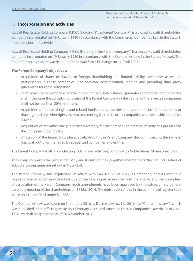#### **1. Incorporation and activities**

Kuwait Real Estate Holding Company K.P.S.C (Holding) ("the Parent Company") is a closed Kuwaiti shareholding company incorporated on 19 January 1980 in accordance with the Commercial Companies' Law in the State 1. Incorporation and activities

Kuwait Real Estate Holding Company K.P.S.C (Holding) ("the Parent company") is a closed Kuwaiti shareholding company incorporated on 19 January 1980 in accordance with the Companies' Law in the State of Kuwait. The Parent Company's share was listed on the Kuwait Stock Exchange on 12 April 2005.

#### **The Parent Company's objectives:**

- Acquisition of shares of Kuwaiti or foreign shareholding and limited liability companies as well as participation in those companies' incorporation, administration, lending and providing third party guarantees for these companies.
- Grant loans to the companies in which the Company holds shares, guarantees them before third parties and in this case the contributions ratio of the Parent Company in the capital of the investee companies shall not be less than 20% minimum.
- Acquisition of industrial rights and related intellectual properties or any other industrial trademarks or drawings and any other rights thereto, and renting thereof to other companies whether inside or outside Kuwait.
- Acquisition of movables and properties necessary for the company to practice its activities pursuant to the limits prescribed by law.
- Utilization of the financial surpluses available with the Parent Company through investing the same in financial portfolios managed by specialized companies and entities.

The Parent Company shall, in conducting its business activities, comply with Noble Islamic Sharia principles.

The Group comprises the parent company and its subsidiaries (together referred to as "the Group"). Details of subsidiary companies are set out in Note (3.4).

The Parent Company has regularized its affairs with Law No. 25 of 2012, as amended, and its executive regulations in accordance with article 322 of the Law, as per amendments to the articles and memorandum of association of the Parent Company. Such amendments have been approved by the extraordinary general assembly meeting of the shareholders on 11 May 2014. The registration of this in the commercial register took place on 11 June 2014 under No. 338.

The Companies' Law was issued on 24 January 2016 by Decree Law No. 1 of 2016 (the "Companies Law"), which was published in the official gazette on 1 February 2016, and cancelled Decree Companies' Law No. 25 of 2012. This Law shall be applicable as of 26 November 2012.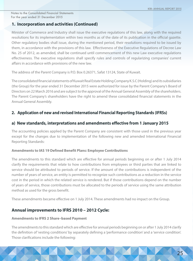#### **1. Incorporation and activities (Continued)**

Minister of Commerce and Industry shall issue the executive regulations of this law, along with the required resolutions for its implementation within two months as of the date of its publication in the official gazette. Other regulatory bodies shall issue, during the mentioned period, their resolutions required to be issued by them, in accordance with the provisions of this law. Effectiveness of the Executive Regulations of Decree Law No. 25 of 2012, as amended, shall be continued until commencement of this new Law executive regulations effectiveness. The executive regulations shall specify rules and controls of regularizing companies' current affairs in accordance with provisions of the new law.

The address of the Parent Company is P.O. Box 0.26371, Safat 13124, State of Kuwait.

The consolidated financial statements of Kuwait Real Estate Holding Company K.S.C (Holding) and its subsidiaries (the Group) for the year ended 31 December 2015 were authorized for issue by the Parent Company's Board of Directors on 22 March 2016 and are subject to the approval of the Annual General Assembly of the shareholders. The Parent Company's shareholders have the right to amend these consolidated financial statements in the Annual General Assembly.

#### **2. Application of new and revised International Financial Reporting Standards (IFRSs)**

#### **a) New standards, interpretations and amendments effective from 1 January 2015**

The accounting policies applied by the Parent Company are consistent with those used in the previous year except for the changes due to implementation of the following new and amended International Financial Reporting Standards:

#### **Amendments to IAS 19 Defined Benefit Plans: Employee Contributions**

The amendments to this standard which are effective for annual periods beginning on or after 1 July 2014 clarify the requirements that relate to how contributions from employees or third parties that are linked to service should be attributed to periods of service. If the amount of the contributions is independent of the number of years of service, an entity is permitted to recognize such contributions as a reduction in the service cost in the period in which the related service is rendered. But if those contributions depend on the number of years of service, those contributions must be allocated to the periods of service using the same attribution method as used for the gross benefit.

These amendments became effective on 1 July 2014. These amendments had no impact on the Group.

#### **Annual improvements to IFRS 2010 – 2012 Cycle:**

#### **Amendments to IFRS 2 Share–based Payment**

The amendments to this standard which are effective for annual periods beginning on or after 1 July 2014 clarify the definition of 'vesting conditions' by separately defining a 'performance condition' and a 'service condition'. Those clarifications include the following: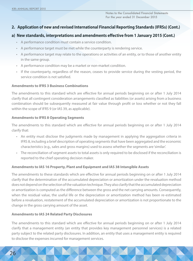#### **2. Application of new and revised International Financial Reporting Standards (IFRSs) (Cont.)**

#### **a) New standards, interpretations and amendments effective from 1 January 2015 (Cont.)**

- A performance condition must contain a service condition.
- A performance target must be met while the counterparty is rendering service.
- A performance target may relate to the operations or activities of an entity, or to those of another entity in the same group.
- A performance condition may be a market or non-market condition.
- If the counterparty, regardless of the reason, ceases to provide service during the vesting period, the service condition is not satisfied.

#### **Amendments to IFRS 3 Business Combinations**

The amendments to this standard which are effective for annual periods beginning on or after 1 July 2014 clarify that all contingent consideration arrangements classified as liabilities (or assets) arising from a business combination should be subsequently measured at fair value through profit or loss whether or not they fall within the scope of IFRS 9 (or IAS 39, as applicable).

#### **Amendments to IFRS 8 Operating Segments**

The amendments to this standard which are effective for annual periods beginning on or after 1 July 2014 clarify that:

- An entity must disclose the judgments made by management in applying the aggregation criteria in IFRS 8, including a brief description of operating segments that have been aggregated and the economic characteristics (e.g., sales and gross margins) used to assess whether the segments are 'similar'.
- The reconciliation of segment assets to total assets is only required to be disclosed if the reconciliation is reported to the chief operating decision maker.

#### **Amendments to IAS 16 Property, Plant and Equipment and IAS 38 Intangible Assets**

The amendments to these standards which are effective for annual periods beginning on or after 1 July 2014 clarify that the determination of the accumulated depreciation or amortization under the revaluation method does not depend on the selection of the valuation technique. They also clarify that the accumulated depreciation or amortization is computed as the difference between the gross and the net carrying amounts. Consequently, when the residual value, the useful life or the depreciation or amortization method has been re-estimated before a revaluation, restatement of the accumulated depreciation or amortization is not proportionate to the change in the gross carrying amount of the asset.

#### **Amendments to IAS 24 Related Party Disclosures**

The amendments to this standard which are effective for annual periods beginning on or after 1 July 2014 clarify that a management entity (an entity that provides key management personnel services) is a related party subject to the related party disclosures. In addition, an entity that uses a management entity is required to disclose the expenses incurred for management services.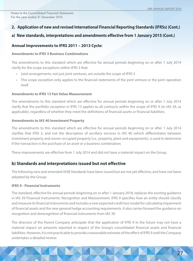## **2. Application of new and revised International Financial Reporting Standards (IFRSs) (Cont.)**

#### **a) New standards, interpretations and amendments effective from 1 January 2015 (Cont.)**

#### **Annual Improvements to IFRS 2011 – 2013 Cycle:**

#### **Amendments to IFRS 3 Business Combinations**

The amendments to this standard which are effective for annual periods beginning on or after 1 July 2014 clarify for the scope exceptions within IFRS 3 that:

- Joint arrangements, not just joint ventures, are outside the scope of IFRS 3
- This scope exception only applies to the financial statements of the joint venture or the joint operation itself.

#### **Amendments to IFRS 13 Fair Value Measurement**

The amendments to this standard which are effective for annual periods beginning on or after 1 July 2014 clarify that the portfolio exception in IFRS 13 applies to all contracts within the scope of IFRS 9 (or IAS 39, as applicable), regardless of whether they meet the definitions of financial assets or financial liabilities.

#### **Amendments to IAS 40 Investment Property**

The amendments to this standard which are effective for annual periods beginning on or after 1 July 2014 clarifies that IFRS 3, and not the description of ancillary services in IAS 40 (which differentiates between investment property and owner-occupied property (i.e., property, plant and equipment)), is used to determine if the transaction is the purchase of an asset or a business combination.

These improvements are effective from 1 July 2014 and did not have a material impact on the Group.

#### **b) Standards and interpretations issued but not effective**

The following new and amended IASB Standards have been issued but are not yet effective, and have not been adopted by the Group:

#### **IFRS 9 - Financial Instruments**

The standard, effective for annual periods beginning on or after 1 January 2018, replaces the existing guidance in IAS 39 Financial Instruments: Recognition and Measurement. IFRS 9 specifies how an entity should classify and measure its financial instruments and includes a new expected credit loss model for calculating impairment of financial assets and the new general hedge accounting requirements. It also carries forward the guidance on recognition and derecognition of financial instruments from IAS 39.

The directors of the Parent Company anticipate that the application of IFRS 9 in the future may not have a material impact on amounts reported in respect of the Group's consolidated financial assets and financial liabilities. However, it is not practicable to provide a reasonable estimate of the effect of IFRS 9 until the Company undertakes a detailed review.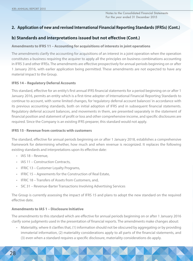## **2. Application of new and revised International Financial Reporting Standards (IFRSs) (Cont.)**

## **b) Standards and interpretations issued but not effective (Cont.)**

#### **Amendments to IFRS 11 – Accounting for acquisitions of interests in joint operations**

The amendments clarify the accounting for acquisitions of an interest in a joint operation when the operation constitutes a business requiring the acquirer to apply all the principles on business combinations accounting in IFRS 3 and other IFRSs. The amendments are effective prospectively for annual periods beginning on or after 1 January 2016, with earlier application being permitted. These amendments are not expected to have any material impact to the Group.

#### **IFRS 14 – Regulatory Deferral Accounts**

This standard, effective for an entity's first annual IFRS financial statements for a period beginning on or after 1 January 2016, permits an entity which is a first-time adopter of International Financial Reporting Standards to continue to account, with some limited changes, for 'regulatory deferral account balances' in accordance with its previous accounting standards, both on initial adoption of IFRS and in subsequent financial statements. Regulatory deferral account balances, and movements in them, are presented separately in the statement of financial position and statement of profit or loss and other comprehensive income, and specific disclosures are required. Since the Company is an existing IFRS preparer, this standard would not apply.

#### **IFRS 15 - Revenue from contracts with customers**

The standard, effective for annual periods beginning on or after 1 January 2018, establishes a comprehensive framework for determining whether, how much and when revenue is recognized. It replaces the following existing standards and interpretations upon its effective date:

- IAS 18 Revenue,
- IAS 11 Construction Contracts,
- IFRIC 13 Customer Loyalty Programs,
- IFRIC 15 Agreements for the Construction of Real Estate,
- IFRIC 18 Transfers of Assets from Customers, and,
- SIC 31 Revenue-Barter Transactions Involving Advertising Services

The Group is currently assessing the impact of IFRS 15 and plans to adopt the new standard on the required effective date.

#### **Amendments to IAS 1 – Disclosure Initiative**

The amendments to this standard which are effective for annual periods beginning on or after 1 January 2016 clarify some judgments used in the presentation of financial reports. The amendments make changes about:

• Materiality, where it clarifies that, (1) information should not be obscured by aggregating or by providing immaterial information, (2) materiality considerations apply to all parts of the financial statements, and (3) even when a standard requires a specific disclosure, materiality considerations do apply.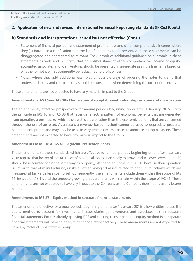## **2. Application of new and revised International Financial Reporting Standards (IFRSs) (Cont.)**

## **b) Standards and interpretations issued but not effective (Cont.)**

- Statement of financial position and statement of profit or loss and other comprehensive income, where they (1) introduce a clarification that the list of line items to be presented in these statements can be disaggregated and aggregated as relevant. They introduce additional guidance on subtotals in these statements as well, and (2) clarify that an entity's share of other comprehensive income of equityaccounted associates and joint ventures should be presented in aggregate as single line items based on whether or not it will subsequently be reclassified to profit or loss.
- Notes, where they add additional examples of possible ways of ordering the notes to clarify that understandability and comparability should be considered when determining the order of the notes.

These amendments are not expected to have any material impact to the Group.

#### **Amendments to IAS 16 and IAS 38 – Clarification of acceptable methods of depreciation and amortization**

The amendments, effective prospectively for annual periods beginning on or after 1 January 2016, clarify the principle in IAS 16 and IAS 38 that revenue reflects a pattern of economic benefits that are generated from operating a business (of which the asset is a part) rather than the economic benefits that are consumed through the use of an asset. As a result, a revenue based method cannot be used to depreciate property, plant and equipment and may only be used in very limited circumstances to amortize intangible assets. These amendments are not expected to have any material impact to the Group.

#### **Amendments to IAS 16 & IAS 41 – Agriculture: Bearer Plants**

The amendments to these standards which are effective for annual periods beginning on or after 1 January 2016 require that bearer plants (a subset of biological assets used solely to grow produce over several periods) should be accounted for in the same way as property, plant and equipment in IAS 16 because their operation is similar to that of manufacturing, unlike all other biological assets related to agricultural activity which are measured at fair value less cost to sell. Consequently, the amendments include them within the scope of IAS 16, instead of IAS 41, and the produce growing on bearer plants will remain within the scope of IAS 41. These amendments are not expected to have any impact to the Company as the Company does not have any bearer plants.

#### **Amendments to IAS 27 – Equity method in separate financial statements**

The amendment, effective for annual periods beginning on or after 1 January 2016, allow entities to use the equity method to account for investments in subsidiaries, joint ventures and associates in their separate financial statements. Entities already applying IFRS and electing to change to the equity method in its separate financial statements will have to apply that change retrospectively. These amendments are not expected to have any material impact to the Group.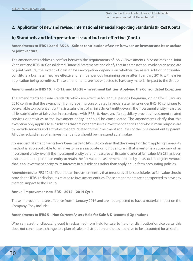## **2. Application of new and revised International Financial Reporting Standards (IFRSs) (Cont.)**

#### **b) Standards and interpretations issued but not effective (Cont.)**

#### **Amendments to IFRS 10 and IAS 28 – Sale or contribution of assets between an investor and its associate or joint venture**

The amendments address a conflict between the requirements of IAS 28 'Investments in Associates and Joint Ventures' and IFRS 10 'Consolidated Financial Statements' and clarify that in a transaction involving an associate or joint venture, the extent of gain or loss recognition depends on whether the assets sold or contributed constitute a business. They are effective for annual periods beginning on or after 1 January 2016, with earlier application being permitted. These amendments are not expected to have any material impact to the Group.

#### **Amendments to IFRS 10, IFRS 12, and IAS 28 – Investment Entities: Applying the Consolidated Exception**

The amendments to these standards which are effective for annual periods beginning on or after 1 January 2016 confirm that the exemption from preparing consolidated financial statements under IFRS 10 continues to be available to a parent entity that is a subsidiary of an investment entity, even if the investment entity measures all its subsidiaries at fair value in accordance with IFRS 10. However, if a subsidiary provides investment-related services or activities to the investment entity, it should be consolidated. The amendments clarify that this exception only applies to subsidiaries that are not themselves investment entities and whose main purpose are to provide services and activities that are related to the investment activities of the investment entity parent. All other subsidiaries of an investment entity should be measured at fair value.

Consequential amendments have been made to IAS 28 to confirm that the exemption from applying the equity method is also applicable to an investor in an associate or joint venture if that investor is a subsidiary of an investment entity, even if the investment entity parent measures all its subsidiaries at fair value. IAS 28 has been also amended to permit an entity to retain the fair value measurement applied by an associate or joint venture that is an investment entity to its interests in subsidiaries rather than applying uniform accounting policies.

Amendments to IFRS 12 clarified that an investment entity that measures all its subsidiaries at fair value should provide the IFRS 12 disclosures related to investment entities. These amendments are not expected to have any material impact to the Group.

#### **Annual Improvements to IFRS – 2012 – 2014 Cycle:**

These improvements are effective from 1 January 2016 and are not expected to have a material impact on the Company. They include:

#### **Amendments to IFRS 5 – Non Current Assets Held for Sale & Discounted Operations**

When an asset (or disposal group) is reclassified from 'held for sale' to 'held for distribution' or vice versa, this does not constitute a change to a plan of sale or distribution and does not have to be accounted for as such.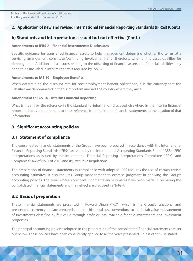## **2. Application of new and revised International Financial Reporting Standards (IFRSs) (Cont.)**

#### **b) Standards and interpretations issued but not effective (Cont.)**

#### **Amendments to IFRS 7 – Financial Instruments: Disclosures**

Specific guidance for transferred financial assets to help management determine whether the terms of a servicing arrangement constitute 'continuing involvement' and, therefore, whether the asset qualifies for derecognition. Additional disclosures relating to the offsetting of financial assets and financial liabilities only need to be included in interim reports if required by IAS 34.

#### **Amendments to IAS 19 – Employee Benefits**

When determining the discount rate for post-employment benefit obligations, it is the currency that the liabilities are denominated in that is important and not the country where they arise.

#### **Amendment to IAS 34 – Interim Financial Reporting**

What is meant by the reference in the standard to 'information disclosed elsewhere in the interim financial report' and adds a requirement to cross-reference from the interim financial statements to the location of that information.

#### **3. Significant accounting policies**

#### **3.1 Statement of compliance**

The consolidated financial statements of the Group have been prepared in accordance with the International Financial Reporting Standards (IFRSs) as issued by the International Accounting Standards Board (IASB), IFRIC interpretations as issued by the International Financial Reporting Interpretations Committee (IFRIC) and Companies' Law of No. 1 of 2016 and its Executive Regulations.

The preparation of financial statements in compliance with adopted IFRS requires the use of certain critical accounting estimates. It also requires Group management to exercise judgment in applying the Group's accounting policies. The areas where significant judgments and estimates have been made in preparing the consolidated financial statements and their effect are disclosed in Note 4.

#### **3.2 Basis of preparation**

These financial statements are presented in Kuwaiti Dinars ("KD"), which is the Group's functional and presentation currency, and are prepared under the historical cost convention, except for fair value measurement of investments classified by fair value through profit or loss, available for sale investments and investment properties.

The principal accounting policies adopted in the preparation of the consolidated financial statements are set out below. These policies have been consistently applied to all the years presented, unless otherwise stated.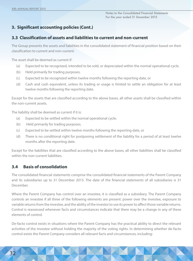## **3. Significant accounting policies (Cont.)**

## **3.3 Classification of assets and liabilities to current and non-current**

The Group presents the assets and liabilities in the consolidated statement of financial position based on their classification to current and non-current.

The asset shall be deemed as current if:

- (a) Expected to be recognized, intended to be sold, or depreciated within the normal operational cycle.
- (b) Held primarily for trading purposes.
- (c) Expected to be recognized within twelve months following the reporting date, or
- (d) Cash and cash equivalent, unless its trading or usage is limited to settle an obligation for at least twelve months following the reporting date.

Except for the assets that are classified according to the above bases, all other assets shall be classified within the non-current assets.

The liability shall be deemed as current if it is:

- (a) Expected to be settled within the normal operational cycle.
- (b) Held primarily for trading purposes.
- (c) Expected to be settled within twelve months following the reporting date, or
- (d) There is no conditional right for postponing settlement of the liability for a period of at least twelve months after the reporting date.

Except for the liabilities that are classified according to the above bases, all other liabilities shall be classified within the non-current liabilities.

#### **3.4 Basis of consolidation**

The consolidated financial statements comprise the consolidated financial statements of the Parent Company and its subsidiaries up to 31 December 2015. The date of the financial statements of all subsidiaries is 31 December.

Where the Parent Company has control over an investee, it is classified as a subsidiary. The Parent Company controls an investee if all three of the following elements are present: power over the investee, exposure to variable returns from the investee, and the ability of the investor to use its power to affect those variable returns. Control is reassessed whenever facts and circumstances indicate that there may be a change in any of these elements of control.

De-facto control exists in situations where the Parent Company has the practical ability to direct the relevant activities of the investee without holding the majority of the voting rights. In determining whether de-facto control exists the Parent Company considers all relevant facts and circumstances, including: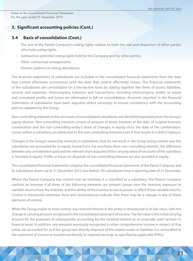## **3. Significant accounting policies (Cont.)**

#### **3.4 Basis of consolidation (Cont.)**

- The size of the Parent Company's voting rights relative to both the size and dispersion of other parties who hold voting rights.
- Substantive potential voting rights held by the Company and by other parties.
- Other contractual arrangements.
- Historic patterns in voting attendance.

The financial statements of subsidiaries are included in the consolidated financial statements from the date that control effectively commences until the date that control effectively ceases. The financial statements of the subsidiaries are consolidated on a line-by-line basis by adding together like items of assets, liabilities, income and expenses. Intercompany balances and transactions, including intercompany profits or losses and unrealized profits and losses are eliminated in full on consolidation. Amounts reported in the financial statements of subsidiaries have been adjusted where necessary to ensure consistency with the accounting policies adopted by the Group.

Non-controlling interests in the net assets of consolidated subsidiaries are identified separately from the Group's equity therein. Non-controlling interests consist of amount of those interests at the date of original business combination and the non-controlling entity's share of changes in equity since the date of the combination. Losses within a subsidiary are attributed to the non-controlling interests even if that results in a deficit balance.

Changes in the Group's ownership interests in subsidiaries that do not result in the Group losing control over the subsidiaries are accounted for as equity transactions. For purchases from non-controlling interests, the difference between any consideration paid and the relevant share acquired of the carrying value of net assets of the subsidiary is recorded in equity. Profits or losses on disposals of non-controlling interests are also recorded in equity.

The consolidated financial statements comprise the consolidated financial statements of the Parent Company and its subsidiaries drawn up to 31 December 2015 (see below). All subsidiaries have a reporting date of 31 December.

Where the Parent Company has control over an investee, it is classified as a subsidiary. The Parent Company controls an investee if all three of the following elements are present: power over the investee, exposure to variable returns from the investee, and the ability of the investor to use its power to affect those variable returns. Control is reassessed whenever facts and circumstances indicate that there may be a change in any of these elements of control.

When the Group ceases to have control, any retained interest in the entity is remeasured to its fair value, with the change in carrying amount recognised in the consolidated statement of income. The fair value is the initial carrying amount for the purposes of subsequently accounting for the retained interest as an associate, joint venture or financial asset. In addition, any amounts previously recognised in other comprehensive income in respect of that entity are accounted for as if the group had directly disposed of the related assets or liabilities (i.e. reclassified to the statement of income or transferred directly to retained earnings as specified by applicable IFRSs).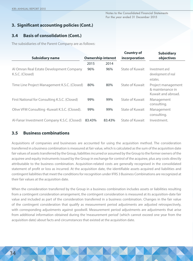## **3. Significant accounting policies (Cont.)**

#### **3.4 Basis of consolidation (Cont.)**

The subsidiaries of the Parent Company are as follows:

| <b>Subsidiary name</b>                                      |        | <b>Ownership interest</b> | <b>Country of</b><br>incorporation | <b>Subsidiary</b><br>objectives                   |
|-------------------------------------------------------------|--------|---------------------------|------------------------------------|---------------------------------------------------|
|                                                             | 2015   | 2014                      |                                    |                                                   |
| Al Omran Real Estate Development Company<br>K.S.C. (Closed) | 96%    | 96%                       | State of Kuwait                    | Investment and<br>development of real<br>estates. |
| Time Line Project Management K.S.C. (Closed)                | 80%    | 80%                       | State of Kuwait                    | Project management                                |
|                                                             |        |                           |                                    | & maintenance in<br>Kuwait and abroad.            |
| First National for Consulting K.S.C. (Closed)               | 99%    | 99%                       | <b>State of Kuwait</b>             | Management<br>consulting.                         |
| Olive VFM Consulting - Kuwait K.S.C. (Closed).              | 99%    | 99%                       | <b>State of Kuwait</b>             | Management<br>consulting.                         |
| Al-Fanar Investment Company K.S.C. (Closed)                 | 83.43% | 83.43%                    | <b>State of Kuwait</b>             | Investment.                                       |

#### **3.5 Business combinations**

Acquisitions of companies and businesses are accounted for using the acquisition method. The consideration transferred in a business combination is measured at fair value, which is calculated as the sum of the acquisition date fair values of assets transferred by the Group, liabilities incurred or assumed by the Group to the former owners of the acquiree and equity instruments issued by the Group in exchange for control of the acquiree, plus any costs directly attributable to the business combination. Acquisition-related costs are generally recognised in the consolidated statement of profit or loss as incurred. At the acquisition date, the identifiable assets acquired and liabilities and contingent liabilities that meet the conditions for recognition under IFRS 3 Business Combinations are recognized at their fair values at the acquisition date.

When the consideration transferred by the Group in a business combination includes assets or liabilities resulting from a contingent consideration arrangement, the contingent consideration is measured at its acquisition-date fair value and included as part of the consideration transferred in a business combination. Changes in the fair value of the contingent consideration that qualify as measurement period adjustments are adjusted retrospectively, with corresponding adjustments against goodwill. Measurement period adjustments are adjustments that arise from additional information obtained during the 'measurement period' (which cannot exceed one year from the acquisition date) about facts and circumstances that existed at the acquisition date.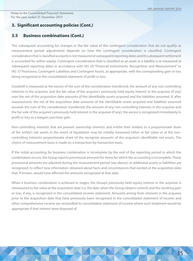## **3. Significant accounting policies (Cont.)**

#### **3.5 Business combinations (Cont.)**

The subsequent accounting for changes in the fair value of the contingent consideration that do not qualify as measurement period adjustments depends on how the contingent consideration is classified. Contingent consideration that is classified as equity is not measured at subsequent reporting dates and its subsequent settlement is accounted for within equity. Contingent consideration that is classified as an asset or a liability is re-measured at subsequent reporting dates in accordance with IAS 39 "Financial Instruments; Recognition and Measurement" or IAS 37 Provisions, Contingent Liabilities and Contingent Assets, as appropriate, with the corresponding gain or loss being recognized in the consolidated statement of profit or loss.

Goodwill is measured as the excess of the sum of the consideration transferred, the amount of any non-controlling interests in the acquiree, and the fair value of the acquirer's previously held equity interest in the acquiree (if any) over the net of the acquisition date amounts of the identifiable assets acquired and the liabilities assumed. If, after reassessment, the net of the acquisition date amounts of the identifiable assets acquired and liabilities assumed exceeds the sum of the consideration transferred, the amount of any non-controlling interests in the acquiree and the fair vale of the acquirer's previously held interest in the acquiree (if any), the excess is recognized immediately in profit or loss as a bargain purchase gain.

Non-controlling interests that are present ownership interests and entitle their holders to a proportionate share of the entity's net assets in the event of liquidation may be initially measured either at fair value or at the noncontrolling interests' proportionate share of the recognize amounts of the acquiree's identifiable net assets. The choice of measurement basis is made on a transaction-by-transaction basis.

If the initial accounting for business combination is incomplete by the end of the reporting period in which the combination occurs, the Group reports provisional amounts for items for which the accounting is incomplete. Those provisional amounts are adjusted during the measurement period (see above), or additional assets or liabilities are recognized, to reflect new information obtained about facts and circumstances that existed at the acquisition date that, if known, would have affected the amounts recognized at that date.

When a business combination is achieved in stages, the Group's previously held equity interest in the acquiree is remeasured to fair value at the acquisition date (i.e. the date when the Group obtains control) and the resulting gain or loss, if any, is recognized in the consolidated income statement. Amounts arising from interests in the acquiree prior to the acquisition date that have previously been recognised in the consolidated statement of income and other comprehensive income are reclassified to consolidated statement of income where such treatment would be appropriate if that interest were disposed of.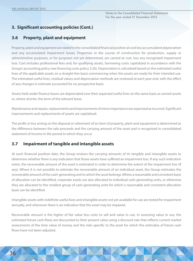## **3. Significant accounting policies (Cont.)**

## **3.6 Property, plant and equipment**

Property, plant and equipment are stated in the consolidated financial position at cost less accumulated depreciation and any accumulated impairment losses. Properties in the course of construction for production, supply or administrative purposes, or for purposes not yet determined, are carried at cost, less any recognized impairment loss. Cost includes professional fees and, for qualifying assets, borrowing costs capitalized in accordance with the Group's accounting policy (see financing costs policy 3.26). Depreciation is calculated based on the estimated useful lives of the applicable assets on a straight-line basis commencing when the assets are ready for their intended use. The estimated useful lives, residual values and depreciation methods are reviewed at each year end, with the effect of any changes in estimate accounted for on prospective basis.

Assets held under finance leases are depreciated over their expected useful lives on the same basis as owned assets or, where shorter, the term of the relevant lease.

Maintenance and repairs, replacements and improvements of minor importance are expensed as incurred. Significant improvements and replacements of assets are capitalised.

The profit or loss arising on the disposal or retirement of an item of property, plant and equipment is determined as the difference between the sale proceeds and the carrying amount of the asset and is recognized in consolidated statement of income in the period in which they occur.

## **3.7 Impairment of tangible and intangible assets**

At each financial position date, the Group reviews the carrying amounts of its tangible and intangible assets to determine whether there is any indication that those assets have suffered an impairment loss. If any such indication exists, the recoverable amount of the asset is estimated in order to determine the extent of the impairment loss (if any). Where it is not possible to estimate the recoverable amount of an individual asset, the Group estimates the recoverable amount of the cash-generating unit to which the asset belongs. Where a reasonable and consistent basis of allocation can be identified, corporate assets are also allocated to individual cash-generating units, or otherwise they are allocated to the smallest group of cash-generating units for which a reasonable and consistent allocation basis can be identified.

Intangible assets with indefinite useful lives and intangible assets not yet available for use are tested for impairment annually, and whenever there is an indication that the asset may be impaired.

Recoverable amount is the higher of fair value less costs to sell and value in use. In assessing value in use, the estimated future cash flows are discounted to their present value using a discount rate that reflects current market assessments of the time value of money and the risks specific to the asset for which the estimates of future cash flows have not been adjusted.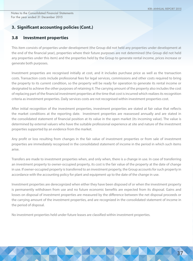## **3. Significant accounting policies (Cont.)**

#### **3.8 Investment properties**

This item consists of properties under development (the Group did not held any properties under development at the end of the financial year), properties where their future purposes are not determined (the Group did not held any properties under this item) and the properties held by the Group to generate rental income, prices increase or generate both purposes.

Investment properties are recognised initially at cost, and it includes purchase price as well as the transaction costs. Transaction costs include professional fees for legal services, commissions and other costs required to bring the property to its current condition, so the property will be ready for operation to generate its rental income or designated to achieve the other purposes of retaining it. The carrying amount of the property also includes the cost of replacing part of the financial investment properties at the time that cost is incurred which realizes its recognition criteria as investment properties. Daily services costs are not recognised within investment properties cost.

After initial recognition of the investment properties, investment properties are stated at fair value that reflects the market conditions at the reporting date. Investment properties are reassessed annually and are stated in the consolidated statement of financial position at its value in the open market (its incoming value). The value is determined by external valuers who have the suitable professional experience at site and nature of the investment properties supported by an evidence from the market.

Any profit or loss resulting from changes in the fair value of investment properties or from sale of investment properties are immediately recognised in the consolidated statement of income in the period in which such items arise.

Transfers are made to investment properties when, and only when, there is a change in use. In case of transferring an investment property to owner-occupied property, its cost is the fair value of the property at the date of change in use. If owner-occupied property is transferred to an investment property, the Group accounts for such property in accordance with the accounting policy for plant and equipment up to the date of the change in use.

Investment properties are derecognized when either they have been disposed of or when the investment property is permanently withdrawn from use and no future economic benefits are expected from its disposal. Gains and losses on disposal of investment properties are measured by the difference between the net disposal proceeds or the carrying amount of the investment properties, and are recognized in the consolidated statement of income in the period of disposal.

No investment properties held under future leases are classified within investment properties.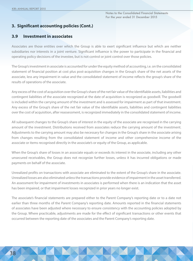#### **3. Significant accounting policies (Cont.)**

#### **3.9 Investment in associates**

Associates are those entities over which the Group is able to exert significant influence but which are neither subsidiaries nor interests in a joint venture. Significant influence is the power to participate in the financial and operating policy decisions of the investee, but is not control or joint control over those policies.

The Group's investment in associate is accounted for under the equity method of accounting, i.e. on the consolidated statement of financial position at cost plus post-acquisition changes in the Group's share of the net assets of the associate, less any impairment in value and the consolidated statement of income reflects the group's share of the results of operations of the associate.

Any excess of the cost of acquisition over the Group's share of the net fair value of the identifiable assets, liabilities and contingent liabilities of the associate recognized at the date of acquisition is recognized as goodwill. The goodwill is included within the carrying amount of the investment and is assessed for impairment as part of that investment. Any excess of the Group's share of the net fair value of the identifiable assets, liabilities and contingent liabilities over the cost of acquisition, after reassessment, is recognized immediately in the consolidated statement of income.

All subsequent changes to the Group's share of interest in the equity of the associate are recognised in the carrying amount of the investment. Distributions received from associates reduce the carrying amount of the investment. Adjustments to the carrying amount may also be necessary for changes in the Group's share in the associate arising from changes resulting from the consolidated statement of income and other comprehensive income of the associate or items recognised directly in the associate's or equity of the Group, as applicable.

When the Group's share of losses in an associate equals or exceeds its interest in the associate, including any other unsecured receivables, the Group does not recognize further losses, unless it has incurred obligations or made payments on behalf of the associate.

Unrealized profits on transactions with associate are eliminated to the extent of the Group's share in the associate. Unrealized losses are also eliminated unless the transactions provide evidence of impairment in the asset transferred. An assessment for impairment of investments in associates is performed when there is an indication that the asset has been impaired, or that impairment losses recognized in prior years no longer exist.

The associate's financial statements are prepared either to the Parent Company's reporting date or to a date not earlier than three months of the Parent Company's reporting date. Amounts reported in the financial statements of associates have been adjusted where necessary to ensure consistency with the accounting policies adopted by the Group. Where practicable, adjustments are made for the effect of significant transactions or other events that occurred between the reporting date of the associates and the Parent Company's reporting date.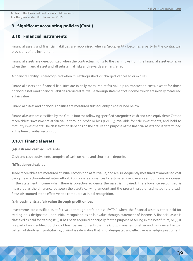## **3. Significant accounting policies (Cont.)**

#### **3.10 Financial instruments**

Financial assets and financial liabilities are recognised when a Group entity becomes a party to the contractual provisions of the instrument.

Financial assets are derecognized when the contractual rights to the cash flows from the financial asset expire, or when the financial asset and all substantial risks and rewards are transferred.

A financial liability is derecognized when it is extinguished, discharged, cancelled or expires.

Financial assets and financial liabilities are initially measured at fair value plus transaction costs, except for those financial assets and financial liabilities carried at fair value through statement of income, which are initially measured at fair value.

Financial assets and financial liabilities are measured subsequently as described below.

Financial assets are classified by the Group into the following specified categories: "cash and cash equivalents", "trade receivables", 'investments at fair value through profit or loss (FVTPL)', 'available for sale investments', and 'held to maturity investments'. The classification depends on the nature and purpose of the financial assets and is determined at the time of initial recognition.

#### **3.10.1 Financial assets**

#### **(a)Cash and cash equivalents**

Cash and cash equivalents comprise of cash on hand and short term deposits.

#### **(b)Trade receivables**

Trade receivables are measured at initial recognition at fair value, and are subsequently measured at amortised cost using the effective interest rate method. Appropriate allowances for estimated irrecoverable amounts are recognised in the statement income when there is objective evidence the asset is impaired. The allowance recognised is measured as the difference between the asset's carrying amount and the present value of estimated future cash flows discounted at the effective rate computed at initial recognition.

#### **(c)Investments at fair value through profit or loss**

Investments are classified as at fair value through profit or loss (FVTPL) where the financial asset is either held for trading or is designated upon initial recognition as at fair value through statement of income. A financial asset is classified as held for trading if: (i) it has been acquired principally for the purpose of selling in the near future; or (ii) it is a part of an identified portfolio of financial instruments that the Group manages together and has a recent actual pattern of short-term profit-taking; or (iii) it is a derivative that is not designated and effective as a hedging instrument.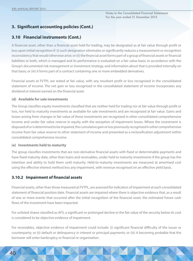## **3. Significant accounting policies (Cont.)**

## **3.10 Financial instruments (Cont.)**

A financial asset, other than a financial asset held for trading, may be designated as at fair value through profit or loss upon initial recognition if: (i) such designation eliminates or significantly reduces a measurement or recognition inconsistency that would otherwise arise; or (ii) the financial asset forms part of a group of financial assets or financial liabilities or both, which is managed and its performance is evaluated on a fair value basis, in accordance with the Group's documented risk management or investment strategy, and information about that is provided internally on that basis; or (iii) it forms part of a contract containing one or more embedded derivatives.

Financial assets at FVTPL are stated at fair value, with any resultant profit or loss recognized in the consolidated statement of income. The net gain or loss recognised in the consolidated statement of income incorporates any dividend or interest earned on the financial asset.

#### **(d) Available for sale investments**

The Group classifies equity investments classified that are neither held for trading nor at fair value through profit or loss, nor held to maturity investments as available for sale investments and are recognized at fair value. Gains and losses arising from changes in fair value of these investments are recognized in other consolidated comprehensive income and under fair value reserve in equity with the exception of impairment losses. Where the investment is disposed of or is determined to be impaired, the cumulative gain or loss previously recognized in other comprehensive income from fair value reserve to other statement of income and presented as a reclassification adjustment within consolidated comprehensive income.

#### **(e) Investments held to maturity**

The group classifies investments that are non-derivative financial assets with fixed or determinable payments and have fixed maturity date, other than loans and receivables, under held to maturity investments if the group has the intention and ability to hold them until maturity. Held-to-maturity investments are measured at amortised cost using the effective interest method less any impairment, with revenue recognised on an effective yield basis.

#### **3.10.2 Impairment of financial assets**

Financial assets, other than those measured at FVTPL, are assessed for indicators of impairment at each consolidated statement of financial position date. Financial assets are impaired where there is objective evidence that, as a result of one or more events that occurred after the initial recognition of the financial asset, the estimated future cash flows of the investment have been impacted.

For unlisted shares classified as AFS, a significant or prolonged decline in the fair value of the security below its cost is considered to be objective evidence of impairment.

For receivables, objective evidence of impairment could include: (i) significant financial difficulty of the issuer or counterparty; or (ii) default or delinquency in interest or principal payments; or (iii) it becoming probable that the borrower will enter bankruptcy or financial re-organisation.

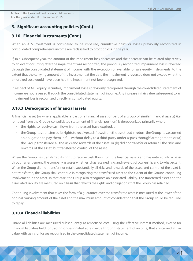## **3. Significant accounting policies (Cont.)**

## **3.10 Financial instruments (Cont.)**

When an AFS investment is considered to be impaired, cumulative gains or losses previously recognized in consolidated comprehensive income are reclassified to profit or loss in the year.

If, in a subsequent year, the amount of the impairment loss decreases and the decrease can be related objectively to an event occurring after the impairment was recognized, the previously recognized impairment loss is reversed through the consolidated statement of income, with the exception of available for sale equity instruments, to the extent that the carrying amount of the investment at the date the impairment is reversed does not exceed what the amortized cost would have been had the impairment not been recognized.

In respect of AFS equity securities, impairment losses previously recognized through the consolidated statement of income are not reversed through the consolidated statement of income. Any increase in fair value subsequent to an impairment loss is recognized directly in consolidated equity.

#### **3.10.3 Derecognition of financial assets**

A financial asset (or where applicable, a part of a financial asset or part of a group of similar financial assets) (i.e. removed from the Group's consolidated statement of financial position) is derecognized primarily where:

- the rights to receive cash flows from the asset have expired, or
- the Group has transferred its rights to receive cash flows from the asset, but in return the Group has assumed an obligation to pay them in full without delay to a third party under a 'pass through' arrangement; or (a) the Group transferred all the risks and rewards of the asset; or (b) did not transfer or retain all the risks and rewards of the asset, but transferred control of the asset.

Where the Group has transferred its right to receive cash flows from the financial assets and has entered into a passthrough arrangement, the company assesses whether it has retained risks and rewards of ownership and to what extent. When the Group did not transfer nor retain substantially all risks and rewards of the asset, and control of the asset is not transferred, the Group shall continue in recognizing the transferred asset to the extent of the Group's continuing involvement in the asset. In that case, the Group also recognizes an associated liability. The transferred asset and the associated liability are measured on a basis that reflects the rights and obligations that the Group has retained.

Continuing involvement that takes the form of a guarantee over the transferred asset is measured at the lower of the original carrying amount of the asset and the maximum amount of consideration that the Group could be required to repay.

#### **3.10.4 Financial liabilities**

Financial liabilities are measured subsequently at amortised cost using the effective interest method, except for financial liabilities held for trading or designated at fair value through statement of income, that are carried at fair value with gains or losses recognised in the consolidated statement of income.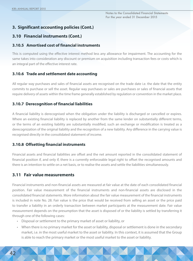## **3. Significant accounting policies (Cont.)**

## **3.10 Financial instruments (Cont.)**

#### **3.10.5 Amortised cost of financial instruments**

This is computed using the effective interest method less any allowance for impairment. The accounting for the same takes into consideration any discount or premium on acquisition including transaction fees or costs which is an integral part of the effective interest rate.

## **3.10.6 Trade and settlement date accounting**

All regular way purchases and sales of financial assets are recognised on the trade date i.e. the date that the entity commits to purchase or sell the asset. Regular way purchases or sales are purchases or sales of financial assets that require delivery of assets within the time frame generally established by regulation or convention in the market place.

## **3.10.7 Derecognition of financial liabilities**

A financial liability is derecognised when the obligation under the liability is discharged or cancelled or expires. Where an existing financial liability is replaced by another from the same lender on substantially different terms, or the terms of an existing liability are substantially modified, such an exchange or modification is treated as a derecognization of the original liability and the recognition of a new liability. Any difference in the carrying value is recognised directly in the consolidated statement of income.

## **3.10.8 Offsetting financial instruments**

Financial assets and financial liabilities are offset and the net amount reported in the consolidated statement of financial position if, and only if, there is a currently enforceable legal right to offset the recognised amounts and there is an intention to settle on a net basis, or to realise the assets and settle the liabilities simultaneously.

## **3.11 Fair value measurements**

Financial instruments and non-financial assets are measured at fair value at the date of each consolidated financial position. Fair value measurement of the financial instruments and non-financial assets are disclosed in the consolidated financial statements. More information about the fair value measurement of the financial instruments is included in note No. 28. Fair value is the price that would be received from selling an asset or the price paid to transfer a liability in an orderly transaction between market participants at the measurement date. Fair value measurement depends on the presumption that the asset is disposed of or the liability is settled by transferring it through one of the following cases:

- Disposal or settlement to the primary market of asset or liability, or
- When there is no primary market for the asset or liability, disposal or settlement is done in the secondary market, i.e. in the most useful market to the asset or liability. In this context, it is assumed that the Group is able to reach the primary market or the most useful market to the asset or liability.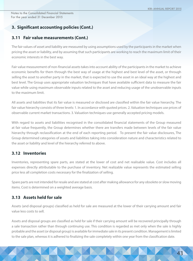## **3. Significant accounting policies (Cont.)**

#### **3.11 Fair value measurements (Cont.)**

The fair values of asset and liability are measured by using assumptions used by the participants in the market when pricing the asset or liability, and by assuming that such participants are working to reach the maximum limit of their economic interests in the best way.

Fair value measurement of non-financial assets takes into account ability of the participants in the market to achieve economic benefits for them through the best way of usage at the highest and best level of the asset, or through selling the asset to another party in the market, that is expected to use the asset in an ideal way at the highest and best level. The Group uses appropriate valuation techniques that have available sufficient data to measure the fair value while using maximum observable inputs related to the asset and reducing usage of the unobservable inputs to the maximum limit.

All assets and liabilities that its fair value is measured or disclosed are classified within the fair value hierarchy. The fair value hierarchy consists of three levels: 1. In accordance with quoted prices. 2. Valuation techniques use prices of observable current market transactions. 3. Valuation techniques use generally accepted pricing models.

With regard to assets and liabilities recognised in the consolidated financial statements of the Group measured at fair value frequently, the Group determines whether there are transfers made between levels of the fair value hierarchy through reclassification at the end of each reporting period. To present the fair value disclosures, The Group determined categories of assets and liabilities taking into consideration nature and characteristics related to the asset or liability and level of the hierarchy referred to above.

#### **3.12 Inventories**

Inventories, representing spare parts, are stated at the lower of cost and net realisable value. Cost includes all expenses directly attributable to the purchase of inventory. Net realizable value represents the estimated selling price less all completion costs necessary for the finalization of selling.

Spare parts are not intended for resale and are stated at cost after making allowance for any obsolete or slow moving items. Cost is determined on a weighted average basis.

## **3.13 Assets held for sale**

Assets (and disposal groups) classified as held for sale are measured at the lower of their carrying amount and fair value less costs to sell.

Assets and disposal groups are classified as held for sale if their carrying amount will be recovered principally through a sale transaction rather than through continuing use. This condition is regarded as met only when the sale is highly probable and the asset (or disposal group) is available for immediate sale in its present condition. Management is limited to the sale plan, whereas it is adhered to finalizing the sale completely within one year from the classification date.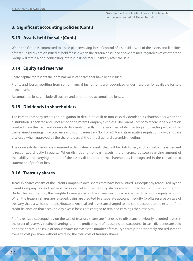## **3. Significant accounting policies (Cont.)**

## **3.13 Assets held for sale (Cont.)**

When the Group is committed to a sale plan involving loss of control of a subsidiary, all of the assets and liabilities of that subsidiary are classified as held for sale when the criteria described above are met, regardless of whether the Group will retain a non-controlling interest in its former subsidiary after the sale.

## **3.14 Equity and reserves**

Share capital represents the nominal value of shares that have been issued.

Profits and losses resulting from some financial instruments are recognized under reserves for available for sale investments.

Accumulated losses include all current and prior period accumulated losses.

## **3.15 Dividends to shareholders**

The Parent Company records an obligation to distribute cash or non-cash dividends to its shareholders when the distribution is declared and is not among the Parent Company's choices. The Parent Company records the obligation resulted from the cash and non-cash dividends directly in the liabilities while inserting an offsetting entry within the retained earnings. In accordance with Companies Law No. 1 of 2016 and its executive regulations, dividends are disclosed when approved by the shareholders at the annual general assembly meeting.

The non-cash dividends are measured at fair value of assets that will be distributed, and fair value measurement is recognized directly in equity. When distributing non-cash assets, the difference between carrying amount of the liability and carrying amount of the assets distributed to the shareholders is recognised in the consolidated statement of profit or loss.

## **3.16 Treasury shares**

Treasury shares consist of the Parent Company's own shares that have been issued, subsequently reacquired by the Parent Company and not yet reissued or cancelled. The treasury shares are accounted for using the cost method. Under the cost method, the weighted average cost of the shares reacquired is charged to a contra equity account. When the treasury shares are reissued, gains are credited to a separate account in equity (profits reserve on sale of treasury shares) which is not distributable. Any realized losses are charged to the same account to the extent of the credit balance on that account. Any excess losses are charged to retained earnings then reserves.

Profits realized subsequently on the sale of treasury shares are first used to offset any previously recorded losses in the order of reserves, retained earnings and the profit on sale of treasury shares account. No cash dividends are paid on these shares. The issue of bonus shares increases the number of treasury shares proportionately and reduces the average cost per share without affecting the total cost of treasury shares.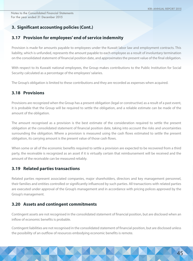## **3. Significant accounting policies (Cont.)**

## **3.17 Provision for employees' end of service indemnity**

Provision is made for amounts payable to employees under the Kuwait labor law and employment contracts. This liability, which is unfunded, represents the amount payable to each employee as a result of involuntary termination on the consolidated statement of financial position date, and approximates the present value of the final obligation.

With respect to its Kuwaiti national employees, the Group makes contributions to the Public Institution for Social Security calculated as a percentage of the employees' salaries.

The Group's obligation is limited to these contributions and they are recorded as expenses when acquired.

## **3.18 Provisions**

Provisions are recognized when the Group has a present obligation (legal or constructive) as a result of a past event, it is probable that the Group will be required to settle the obligation, and a reliable estimate can be made of the amount of the obligation.

The amount recognised as a provision is the best estimate of the consideration required to settle the present obligation at the consolidated statement of financial position date, taking into account the risks and uncertainties surrounding the obligation. Where a provision is measured using the cash flows estimated to settle the present obligation, its carrying amount is the present value of those cash flows.

When some or all of the economic benefits required to settle a provision are expected to be recovered from a third party, the receivable is recognized as an asset if it is virtually certain that reimbursement will be received and the amount of the receivable can be measured reliably.

## **3.19 Related parties transactions**

Related parties represent associated companies, major shareholders, directors and key management personnel, their families and entities controlled or significantly influenced by such parties. All transactions with related parties are executed under approval of the Group's management and in accordance with pricing polices approved by the Group's management.

## **3.20 Assets and contingent commitments**

Contingent assets are not recognised in the consolidated statement of financial position, but are disclosed when an inflow of economic benefits is probable.

Contingent liabilities are not recognised in the consolidated statement of financial position, but are disclosed unless the possibility of an outflow of resources embodying economic benefits is remote.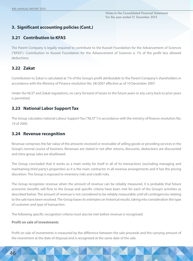## **3. Significant accounting policies (Cont.)**

## **3.21 Contribution to KFAS**

The Parent Company is legally required to contribute to the Kuwait Foundation for the Advancement of Sciences ("KFAS"). Contribution to Kuwait Foundation for the Advancement of Sciences is 1% of the profit less allowed deductions.

## **3.22 Zakat**

Contribution to Zakat is calculated at 1% of the Group's profit attributable to the Parent Company's shareholders in accordance with the Ministry of Finance resolution No. 58/2007 effective as of 10 December 2007.

Under the NLST and Zakat regulations, no carry forward of losses to the future years or any carry back to prior years is permitted.

## **3.23 National Labor Support Tax**

The Group calculates national Labour Support Tax ("NLST") in accordance with the ministry of finance resolution No. 19 of 2000.

## **3.24 Revenue recognition**

Revenue comprises the fair value of the amounts received or receivable of selling goods or providing services in the Group's normal course of business. Revenues are stated in net after returns, discounts, deductions are discounted and intra-group sales are disallowed.

The Group concluded that it works as a main entity for itself in all of its transactions (excluding managing and maintaining third party's properties) as it is the main contractor in all revenue arrangements and it has the pricing discretion. The Group is exposed to inventory risks and credit risks.

The Group recognizes revenue when the amount of revenue can be reliably measured, it is probable that future economic benefits will flow to the Group and specific criteria have been met for each of the Group's activities as described below. The amount of revenue is not considered to be reliably measurable until all contingencies relating to the sale have been resolved. The Group bases its estimates on historical results, taking into consideration the type of customer and type of transaction.

The following specific recognition criteria must also be met before revenue is recognised:

#### **Profit on sale of investments**

Profit on sale of investments is measured by the difference between the sale proceeds and the carrying amount of the investment at the date of disposal and is recognized at the same date of the sale.

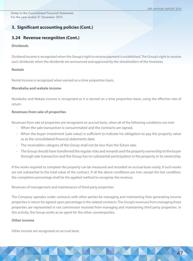## **3. Significant accounting policies (Cont.)**

## **3.24 Revenue recognition (Cont.)**

#### **Dividends**

Dividend income is recognized when the Group's right to receive payment is established. The Group's right to receive such dividends when the dividends are announced and approved by the shareholders of the investees.

#### **Rentals**

Rental income is recognized when earned on a time proportion basis.

#### **Murabaha and wakala income**

Murabaha and Wakala income is recognized as it is earned on a time proportion basis, using the effective rate of return.

#### **Revenues from sale of properties**

Revenues from sale of properties are recognized on accrual basis, when all of the following conditions are met:

- When the sale transaction is consummated and the contracts are signed.
- When the buyer investment (sale value) is sufficient to indicate his obligation to pay the property value as at the consolidated financial statements date.
- The receivables category of the Group shall not be less than the future sale.
- The Group should have transferred the regular risks and rewards and the property ownership to the buyer through sale transaction and the Group has no substantial participation in the property or its ownership.

If the works required to complete the property can be measured and recorded on accrual basis easily; if such works are not substantial to the total value of the contract. If all the above conditions are met, except the last condition, the completion percentage shall be the applied method to recognize the revenue.

Revenues of management and maintenance of third party properties

The Company operates under contracts with other parties for managing and maintaining their generating income properties in return for agreed upon percentage in the related contracts. The Group's revenues from managing these properties are represented in net commission received from managing and maintaining third party properties. In this activity, the Group works as an agent for the other counterparties.

#### **Other income**

Other income are recognized on accrual basis.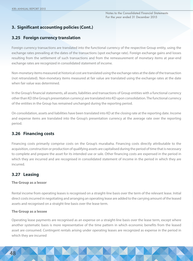## **3. Significant accounting policies (Cont.)**

## **3.25 Foreign currency translation**

Foreign currency transactions are translated into the functional currency of the respective Group entity, using the exchange rates prevailing at the dates of the transactions (spot exchange rate). Foreign exchange gains and losses resulting from the settlement of such transactions and from the remeasurement of monetary items at year-end exchange rates are recognized in consolidated statement of income.

Non-monetary items measured at historical cost are translated using the exchange rates at the date of the transaction (not retranslated). Non-monetary items measured at fair value are translated using the exchange rates at the date when fair value was determined.

In the Group's financial statements, all assets, liabilities and transactions of Group entities with a functional currency other than KD (the Group's presentation currency) are translated into KD upon consolidation. The functional currency of the entities in the Group has remained unchanged during the reporting period.

On consolidation, assets and liabilities have been translated into KD at the closing rate at the reporting date. Income and expense items are translated into the Group's presentation currency at the average rate over the reporting period.

## **3.26 Financing costs**

Financing costs primarily comprise costs on the Group's murabaha. Financing costs directly attributable to the acquisition, construction or production of qualifying assets are capitalised during the period of time that is necessary to complete and prepare the asset for its intended use or sale. Other financing costs are expensed in the period in which they are incurred and are recognised in consolidated statement of income in the period in which they are incurred.

## **3.27 Leasing**

#### **The Group as a lessor**

Rental income from operating leases is recognised on a straight-line basis over the term of the relevant lease. Initial direct costs incurred in negotiating and arranging an operating lease are added to the carrying amount of the leased assets and recognised on a straight-line basis over the lease term.

#### **The Group as a lessee**

Operating lease payments are recognised as an expense on a straight-line basis over the lease term, except where another systematic basis is more representative of the time pattern in which economic benefits from the leased asset are consumed. Contingent rentals arising under operating leases are recognized as expense in the period in which they are incurred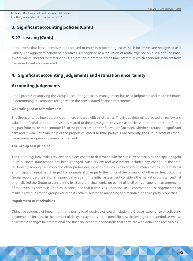## **3. Significant accounting policies (Cont.)**

## **3.27 Leasing (Cont.)**

In the event that lease incentives are received to enter into operating leases, such incentives are recognised as a liability. The aggregate benefit of incentives is recognised as a reduction of rental expense on a straight-line basis, except where another systematic basis is more representative of the time pattern in which economic benefits from the leased asset are consumed.

## **4. Significant accounting judgements and estimation uncertainity**

## **Accounting judgements**

In the process of applying the Group's accounting policies, management has used judgments and made estimates in determining the amounts recognized in the consolidated financial statements.

#### **Operating lease commitments**

The Group entered into operating commercial leases with third parties. The Group determined, based on review and valuation of conditions and provisions related to these arrangements, such as the lease term that does not form a big part from the useful economic life of the properties, and the fair value of an asset, whether it retains all significant risks and rewards of ownership of the properties leased to third parties. Consequently, the Group accounts for all these leases as operating lease arrangements.

#### **The Group as a principal**

The Group regularly makes reviews and assessments to determine whether its current status as principal or agent in its business transactions has been changed. Such review and assessment includes any change in the total relationship among the Group and other parties dealing with the Group, which would mean that its current status as principal or agent has changed. For example, if changes to the rights of the Group, or of other parties, occur, the Group reconsiders its status as a principal or agent. The initial assessment considers the market circumstances that originally led the Group to considering itself as a principal works on behalf of itself or as an agent in arrangements of the revenues contracts. The Group concluded that it works as a principal in all contracts and arrangements that result in revenues to the group excluding its activity related to managing and maintaining third party properties.

#### **Impairment of receivables**

Objective evidence of impairment for a portfolio of receivables could include the Group's experience of collecting payments, an increase in the number of delayed payments in the portfolio past the average credit period, as well as observable changes in international and financial economic conditions that correlate with default on receivables.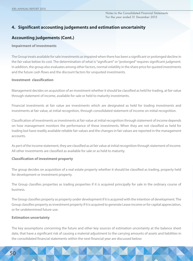## **4. Significant accounting judgements and estimation uncertainity**

## **Accounting judgements (Cont.)**

#### **Impairment of investments**

The Group treats available for sale investments as impaired when there has been a significant or prolonged decline in the fair value below its cost. The determination of what is "significant" or "prolonged" requires significant judgment. In addition, the group also evaluates among other factors, normal volatility in the share price for quoted investments and the future cash flows and the discount factors for unquoted investments.

#### **Investment classification**

Management decides on acquisition of an investment whether it should be classified as held for trading, at fair value through statement of income, available for sale or held to maturity investments.

Financial investments at fair value are investments which are designated as held for trading investments and investments at fair value, at initial recognition, through consolidated statement of income on initial recognition.

Classification of investments as investments at fair value at initial recognition through statement of income depends on how management monitors the performance of these investments. When they are not classified as held for trading but have readily available reliable fair values and the changes in fair values are reported in the management accounts.

As pert of the income statement, they are classified as at fair value at initial recognition through statement of income. All other investments are classified as available for sale or as held to maturity.

#### **Classification of investment property**

The group decides on acquisition of a real estate property whether it should be classified as trading, property held for development or investment property.

The Group classifies properties as trading properties if it is acquired principally for sale in the ordinary course of business.

The Group classifies property as property under development if it is acquired with the intention of development. The Group classifies property as investment property if it is acquired to generate Lease income or for capital appreciation, or for undetermined future use.

#### **Estimation uncertainty**

The key assumptions concerning the future and other key sources of estimation uncertainty at the balance sheet date, that have a significant risk of causing a material adjustment to the carrying amounts of assets and liabilities in the consolidated financial statements within the next financial year are discussed below: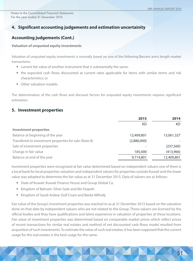## **4. Significant accounting judgements and estimation uncertainity**

## **Accounting judgements (Cont.)**

#### **Valuation of unquoted equity investments**

Valuation of unquoted equity investments is normally based on one of the following recent arm's length market transactions:

- current fair value of another instrument that is substantially the same;
- the expected cash flows discounted at current rates applicable for items with similar terms and risk characteristics; or
- Other valuation models.

The determination of the cash flows and discount factors for unquoted equity investments requires significant estimation.

#### **5. Investment properties**

|                                                       | 2015        | 2014       |
|-------------------------------------------------------|-------------|------------|
|                                                       | <b>KD</b>   | KD         |
| <b>Investment properties</b>                          |             |            |
| Balance at beginning of the year                      | 12,409,801  | 13,061,327 |
| Transfered to investment properties for sale (Note 8) | (2,880,000) |            |
| Sale of investment properties                         |             | (237, 560) |
| Change in fair value                                  | 185,000     | (413,966)  |
| Balance at end of the year                            | 9,714,801   | 12,409,801 |

Investment properties were recognized at fair value determined based on independent valuers one of them is a local bank for local properties valuation and independent valuers for properties outside Kuwait and the lower value was adopted to determine the fair value as at 31 December 2015. Data of valuers are as follows:

- State of Kuwait: Kuwait Finance House and Group Global Co.
- Kingdom of Bahrain: Silver Gate and Bin Faqeeh
- Kingdom of Saudi Arabia: Gulf Coast and Baida AlKhalij

Fair value of the Group's investment properties was reached to as at 31 December 2015 based on the valuation done on that date by independent valuers who are not related to the Group. Those valuers are licensed by the official bodies and they have qualifications and latest experience in valuation of properties at these locations. Fair value of investment properties was determined based on comparable market prices which reflect prices of recent transactions for similar real estates and method of net discounted cash flows model resulted from acquisition of such investments. To estimate the value of such real estates, it has been supposed that the current usage for the real estates is the best usage for the same.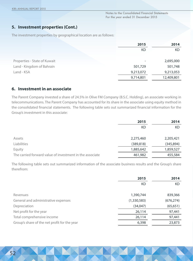#### **5. Investment properties (Cont.)**

The investment properties by geographical location are as follows:

|                              | 2015      | 2014       |
|------------------------------|-----------|------------|
|                              | <b>KD</b> | <b>KD</b>  |
| Properties - State of Kuwait |           | 2,695,000  |
| Land - Kingdom of Bahrain    | 501,729   | 501,748    |
| Land - KSA                   | 9,213,072 | 9,213,053  |
|                              | 9,714,801 | 12,409,801 |

#### **6. Investment in an associate**

The Parent Company invested a share of 24.5% in Olive FM Company (B.S.C. Holding), an associate working in telecommunications. The Parent Company has accounted for its share in the associate using equity method in the consolidated financial statements. The following table sets out summarized financial information for the Group's investment in this associate:

|                                                          | 2015       | 2014       |
|----------------------------------------------------------|------------|------------|
|                                                          | <b>KD</b>  | KD         |
| Assets                                                   | 2,275,460  | 2,205,421  |
| Liabilities                                              | (389, 818) | (345, 894) |
| Equity                                                   | 1,885,642  | 1,859,527  |
| The carried forward value of investment in the associate | 461,982    | 455,584    |

The following table sets out summarized information of the associate business results and the Group's share therefrom:

|                                              | 2015        | 2014       |
|----------------------------------------------|-------------|------------|
|                                              | <b>KD</b>   | <b>KD</b>  |
| Revenues                                     | 1,390,744   | 839,366    |
| General and administrative expenses          | (1,330,583) | (676, 274) |
| Depreciation                                 | (34, 047)   | (65, 651)  |
| Net profit for the year                      | 26,114      | 97,441     |
| Total comprehensive income                   | 26,114      | 97,441     |
| Group's share of the net profit for the year | 6,398       | 23,873     |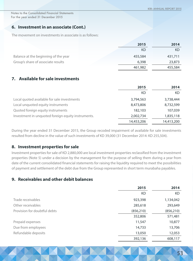## **6. Investment in an associate (Cont.)**

The movement on investments in associate is as follows:

|                                      | 2015      | 2014      |
|--------------------------------------|-----------|-----------|
|                                      | <b>KD</b> | <b>KD</b> |
| Balance at the beginning of the year | 455,584   | 431,711   |
| Group's share of associate results   | 6,398     | 23,873    |
|                                      | 461,982   | 455,584   |

#### **7. Available for sale investments**

|                                                    | 2015       | 2014       |
|----------------------------------------------------|------------|------------|
|                                                    | <b>KD</b>  | KD         |
| Local quoted available for sale investments        | 3,794,563  | 3,738,444  |
| Local unquoted equity instruments                  | 8,473,806  | 8,732,599  |
| Quoted foreign equity instruments                  | 182,103    | 107,039    |
| Investment in unquoted foreign equity instruments. | 2,002,734  | 1,835,118  |
|                                                    | 14,453,206 | 14,413,200 |

During the year ended 31 December 2015, the Group recoded impairment of available for sale investments resulted from decline in the value of such investments of KD 39,000 (31 December 2014: KD 255,504).

#### **8. Investment properties for sale**

Investment properties for sale of KD 2,880,000 are local investment properties reclassified from the investment properties (Note 5) under a decision by the management for the purpose of selling them during a year from date of the current consolidated financial statements for raising the liquidity required to meet the possibilities of payment and settlement of the debt due from the Group represented in short term murabaha payables.

## **9. Receivables and other debit balances**

|                              | 2015       | 2014       |
|------------------------------|------------|------------|
|                              | <b>KD</b>  | <b>KD</b>  |
| Trade receivables            | 923,398    | 1,134,042  |
| Other receivables            | 285,618    | 293,649    |
| Provision for doubtful debts | (856, 210) | (856, 210) |
|                              | 352,806    | 571,481    |
| Prepaid expenses             | 11,547     | 10,877     |
| Due from employees           | 14,733     | 13,706     |
| Refundable deposits          | 13,050     | 12,053     |
|                              | 392,136    | 608,117    |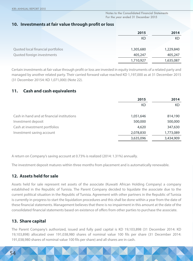#### **10. Investments at fair value through profit or loss**

|                                   | 2015      | 2014      |
|-----------------------------------|-----------|-----------|
|                                   | <b>KD</b> | <b>KD</b> |
| Quoted local financial portfolios | 1,305,680 | 1,229,840 |
| Quoted foreign investments        | 405,247   | 405,247   |
|                                   | 1,710,927 | 1,635,087 |

Certain investments at fair value through profit or loss are invested in equity instruments of a related party and managed by another related party. Their carried forward value reached KD 1,197,000 as at 31 December 2015 (31 December 20154: KD 1,071,000) (Note 22).

#### **11. Cash and cash equivalents**

| 2015      | 2014      |
|-----------|-----------|
| <b>KD</b> | <b>KD</b> |
| 1,051,646 | 814,190   |
| 500,000   | 500,000   |
| 4,620     | 347,630   |
| 2,078,830 | 1,773,089 |
| 3,635,096 | 3,434,909 |
|           |           |

A return on Company's saving account at 0.73% is realized (2014: 1.31%) annually.

The investment deposit matures within three months from placement and is automatically renewable.

#### **12. Assets held for sale**

Assets held for sale represent net assets of the associate (Kuwaiti African Holding Company) a company established in the Republic of Tunisia. The Parent Company decided to liquidate the associate due to the current political situation in the Republic of Tunisia. Agreement with other partners in the Republic of Tunisia is currently in progress to start the liquidation procedures and this shall be done within a year from the date of these financial statements. Management believes that there is no impairment in this amount at the date of the consolidated financial statements based on existence of offers from other parties to purchase the associate.

#### **13. Share capital**

The Parent Company's authorized, issued and fully paid capital is KD 19,103,898 (31 December 2014: KD 19,103,898) allocated over 191,038,980 shares of nominal value 100 fils per share (31 December 2014: 191,038,980 shares of nominal value 100 fils per share) and all shares are in cash.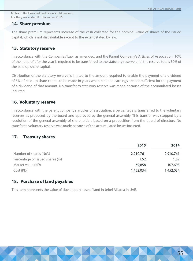#### **14. Share premium**

The share premium represents increase of the cash collected for the nominal value of shares of the issued capital, which is not distributable except to the extent stated by law.

#### **15. Statutory reserve**

In accordance with the Companies' Law, as amended, and the Parent Company's Articles of Association, 10% of the net profit for the year is required to be transferred to the statutory reserve until the reserve totals 50% of the paid up share capital.

Distribution of the statutory reserve is limited to the amount required to enable the payment of a dividend of 5% of paid-up share capital to be made in years when retained earnings are not sufficient for the payment of a dividend of that amount. No transfer to statutory reserve was made because of the accumulated losses incurred.

#### **16. Voluntary reserve**

In accordance with the parent company's articles of association, a percentage is transferred to the voluntary reserves as proposed by the board and approved by the general assembly. This transfer was stopped by a resolution of the general assembly of shareholders based on a proposition from the board of directors. No transfer to voluntary reserve was made because of the accumulated losses incurred.

#### **17. Treasury shares**

|                                 | 2015      | 2014      |
|---------------------------------|-----------|-----------|
| Number of shares (No's)         | 2,910,761 | 2,910,761 |
| Percentage of issued shares (%) | 1.52      | 1.52      |
| Market value (KD)               | 69,858    | 107,698   |
| Cost (KD)                       | 1,452,034 | 1,452,034 |

## **18. Purchase of land payables**

This item represents the value of due on purchase of land in Jebel Ali area in UAE.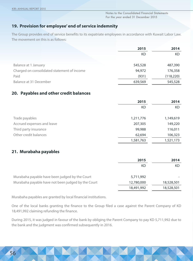#### **19. Provision for employee' end of service indemnity**

The Group provides end of service benefits to its expatriate employees in accordance with Kuwait Labor Law. The movement on this is as follows:

|                                             | 2015      | 2014       |
|---------------------------------------------|-----------|------------|
|                                             | <b>KD</b> | <b>KD</b>  |
| Balance at 1 January                        | 545,528   | 487,390    |
| Charged on consolidated statement of income | 94,972    | 176,358    |
| Paid                                        | (931)     | (118, 220) |
| <b>Balance at 31 December</b>               | 639,569   | 545,528    |

#### **20. Payables and other credit balances**

|                                                    | 2015       | 2014       |
|----------------------------------------------------|------------|------------|
|                                                    | <b>KD</b>  | <b>KD</b>  |
| Trade payables                                     | 1,211,776  | 1,149,619  |
| Accrued expenses and leave                         | 207,305    | 149,220    |
| Third party insurance                              | 99,988     | 116,011    |
| Other credit balances                              | 62,694     | 106,323    |
|                                                    | 1,581,763  | 1,521,173  |
| 21. Murabaha payables                              |            |            |
|                                                    | 2015       | 2014       |
|                                                    | <b>KD</b>  | <b>KD</b>  |
| Murabaha payable have been judged by the Court     | 5,711,992  |            |
| Murabaha payable have not been judged by the Court | 12,780,000 | 18,528,501 |
|                                                    | 18,491,992 | 18,528,501 |

Murabaha payables are granted by local financial institutions.

One of the local banks granting the finance to the Group filed a case against the Parent Company of KD 18,491,992 claiming refunding the finance.

During 2015, it was judged in favour of the bank by obliging the Parent Company to pay KD 5,711,992 due to the bank and the judgment was confirmed subsequently in 2016.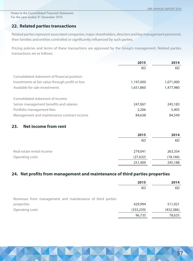## **22. Related parties transactions**

Related parties represent associated companies, major shareholders, directors and key management personnel, their families and entities controlled or significantly influenced by such parties.

Pricing policies and terms of these transactions are approved by the Group's management. Related parties transactions are as follows:

|                                                  | 2015      | 2014      |
|--------------------------------------------------|-----------|-----------|
|                                                  | <b>KD</b> | KD.       |
| Consolidated statement of financial position:    |           |           |
| Investments at fair value through profit or loss | 1,197,000 | 1,071,000 |
| Available for sale investments                   | 1,651,860 | 1,477,980 |
| Consolidated statement of income                 |           |           |
| Senior management benefits and salaries          | 247,067   | 245,183   |
| Portfolio management fees                        | 2,206     | 5,405     |
| Management and maintenance contract income       | 84,638    | 84,549    |

## **23. Net income from rent**

|                           | 2015      | 2014      |
|---------------------------|-----------|-----------|
|                           | <b>KD</b> | <b>KD</b> |
| Real estate rental income | 279,041   | 263,354   |
| Operating costs           | (27, 632) | (18, 166) |
|                           | 251,409   | 245,188   |

## **24. Net profits from management and maintenance of third parties properties**

|                                                           | 2015       | 2014       |
|-----------------------------------------------------------|------------|------------|
|                                                           | KD         | <b>KD</b>  |
| Revenues from management and maintenance of third parties |            |            |
| properties                                                | 429,994    | 511,021    |
| Operating costs                                           | (333, 259) | (432, 386) |
|                                                           | 96,735     | 78,635     |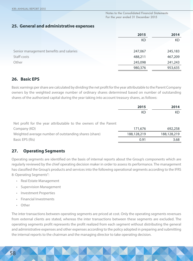KRh ANNUAL REPORT 2015

Notes to the Consolidated Financial Statements For the year ended 31 December 2015

#### **25. General and administrative expenses**

|                                         | 2015      | 2014      |
|-----------------------------------------|-----------|-----------|
|                                         | <b>KD</b> | <b>KD</b> |
| Senior management benefits and salaries | 247,067   | 245,183   |
| Staff costs                             | 488,211   | 467,209   |
| Other                                   | 245,098   | 241,243   |
|                                         | 980,376   | 953,635   |

#### **26. Basic EPS**

Basic earnings per share are calculated by dividing the net profit for the year attributable to the Parent Company owners by the weighted average number of ordinary shares determined based on number of outstanding shares of the authorized capital during the year taking into account treasury shares, as follows:

|                                                                  | 2015        | 2014        |
|------------------------------------------------------------------|-------------|-------------|
|                                                                  | <b>KD</b>   | KD          |
| Net profit for the year attributable to the owners of the Parent |             |             |
| Company (KD)                                                     | 171,676     | 692,258     |
| Weighted average number of outstanding shares (share)            | 188,128,219 | 188,128,219 |
| Basic EPS (fils)                                                 | 0.91        | 3.68        |

## **27. Operating Segments**

Operating segments are identified on the basis of internal reports about the Group's components which are regularly reviewed by the chief operating decision maker in order to assess its performance. The management has classified the Group's products and services into the following operational segments according to the IFRS 8: Operating Segments":

- Real Estate Management
- Supervision Management
- Investment Properties
- Financial Investments
- Other

The inter transactions between operating segments are priced at cost. Only the operating segments revenues from external clients are stated, whereas the inter transactions between these segments are excluded. The operating segments profit represents the profit realized from each segment without distributing the general and administrative expenses and other expenses according to the policy adopted in preparing and submitting the internal reports to the chairman and the managing director to take operating decision.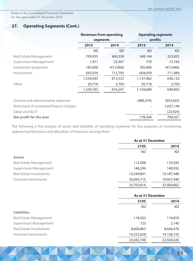## **27. Operating Segments (Cont.)**

|                                         | <b>Revenues from operating</b> |           | <b>Operating segments</b> |           |  |
|-----------------------------------------|--------------------------------|-----------|---------------------------|-----------|--|
|                                         | segments                       |           | profits                   |           |  |
|                                         | 2015<br>2014                   |           | 2015                      | 2014      |  |
|                                         | <b>KD</b>                      | <b>KD</b> | <b>KD</b>                 | <b>KD</b> |  |
| <b>Real Estate Management</b>           | 709,035                        | 460,338   | 348,144                   | 323,823   |  |
| <b>Supervision Management</b>           | 1,971                          | 53,367    | 779                       | 17,192    |  |
| Investment properties                   | 185,000                        | (413,966) | 185,000                   | (413,966) |  |
| Investments                             | 643,039                        | 713,793   | 604,039                   | 711,084   |  |
|                                         | 1,539,045                      | 813,532   | 1,137,962                 | 638,133   |  |
| Other                                   | 20,718                         | 2,709     | 20,718                    | 2,709     |  |
|                                         | 1,559,763                      | 816,241   | 1,158,680                 | 640,842   |  |
| General and administrative expenses     |                                |           | (980, 376)                | (953,635) |  |
| Write back of unclaimed finance charges |                                |           |                           | 1,037,144 |  |
| Zakat and NLST                          |                                |           |                           | (23, 924) |  |
| Net profit for the year                 |                                |           | 178,304                   | 700,427   |  |

The following is the analysis of assets and liabilities of operating segments for the purposes of monitoring segment performance and allocation of resources among them:

|                                | <b>As at 31 December</b> |            |  |  |
|--------------------------------|--------------------------|------------|--|--|
|                                | 2105                     | 2014       |  |  |
|                                | <b>KD</b>                | <b>KD</b>  |  |  |
| <b>Assets</b>                  |                          |            |  |  |
| <b>Real Estate Management</b>  | 112,006                  | 110,542    |  |  |
| <b>Supervision Management</b>  | 148,294                  | 148,932    |  |  |
| <b>Real Estate Investments</b> | 13,349,801               | 13,187,948 |  |  |
| <b>Financial Investments</b>   | 20,093,715               | 19,957,440 |  |  |
|                                | 33,703,816               | 33,404,862 |  |  |
|                                | <b>As at 31 December</b> |            |  |  |
|                                | 2105                     | 2014       |  |  |
|                                | <b>KD</b>                | <b>KD</b>  |  |  |
| <b>Liabilities</b>             |                          |            |  |  |
| <b>Real Estate Management</b>  | 118,502                  | 119,818    |  |  |
| <b>Supervision Management</b>  | 723                      | 2,140      |  |  |
| <b>Real Estate Investments</b> | 8,600,865                | 8,644,476  |  |  |
| <b>Financial Investments</b>   | 14,322,658               | 14,158,192 |  |  |
|                                | 23,042,748               | 22,924,626 |  |  |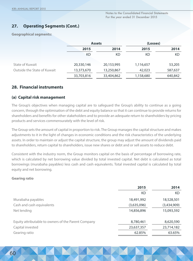## **27. Operating Segments (Cont.)**

**Geographical segments:**

|                             |              | <b>Assets</b> | (Losses)  |           |
|-----------------------------|--------------|---------------|-----------|-----------|
|                             | 2014<br>2015 |               | 2015      | 2014      |
|                             | <b>KD</b>    | <b>KD</b>     | <b>KD</b> | <b>KD</b> |
| State of Kuwait             | 20,330,146   | 20,153,995    | 1,116,657 | 53,205    |
| Outside the State of Kuwait | 13,373,670   | 13,250,867    | 42,023    | 587,637   |
|                             | 33,703,816   | 33,404,862    | 1,158,680 | 640,842   |

#### **28. Financial instruments**

#### **(a) Capital risk management**

The Group's objectives when managing capital are to safeguard the Group's ability to continue as a going concern, through the optimisation of the debt and equity balance so that it can continue to provide returns for shareholders and benefits for other stakeholders and to provide an adequate return to shareholders by pricing products and services commensurately with the level of risk.

The Group sets the amount of capital in proportion to risk. The Group manages the capital structure and makes adjustments to it in the light of changes in economic conditions and the risk characteristics of the underlying assets. In order to maintain or adjust the capital structure, the group may adjust the amount of dividends paid to shareholders, return capital to shareholders, issue new shares or debt and or sell assets to reduce debt.

Consistent with the industry norm, the Group monitors capital on the basis of percentage of borrowing rate, which is calculated by net borrowing value divided by total invested capital. Net debt is calculated as total borrowings (murabaha payables) less cash and cash equivalents. Total invested capital is calculated by total equity and net borrowing.

#### **Gearing ratio**

| 2015        | 2014        |
|-------------|-------------|
| <b>KD</b>   | <b>KD</b>   |
| 18,491,992  | 18,528,501  |
| (3,635,096) | (3,434,909) |
| 14,856,896  | 15,093,592  |
| 8,780,461   | 8,620,590   |
| 23,637,357  | 23,714,182  |
| 62.85%      | 63.65%      |
|             |             |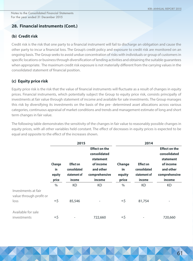#### **28. Financial instruments (Cont.)**

#### **(b) Credit risk**

Credit risk is the risk that one party to a financial instrument will fail to discharge an obligation and cause the other party to incur a financial loss. The Group's credit policy and exposure to credit risk are monitored on an ongoing basis. The Group seeks to avoid undue concentration of risks with individuals or group of customers in specific locations or business through diversification of lending activities and obtaining the suitable guarantees when appropriate. The maximum credit risk exposure is not materially different from the carrying values in the consolidated statement of financial position.

#### **(c) Equity price risk**

Equity price risk is the risk that the value of financial instruments will fluctuate as a result of changes in equity prices. Financial instruments, which potentially subject the Group to equity price risk, consists principally of investments at fair value through statement of income and available for sale investments. The Group manages this risk by diversifying its investments on the basis of the pre- determined asset allocations across various categories, continuous appraisal of market conditions and trends and management estimate of long and short term changes in fair value.

The following table demonstrates the sensitivity of the changes in fair value to reasonably possible changes in equity prices, with all other variables held constant. The effect of decreases in equity prices is expected to be equal and opposite to the effect of the increases shown.

|                                                        | 2015                            |                                                            |                                                                                                        | 2014                            |                                                            |                                                                                                        |  |
|--------------------------------------------------------|---------------------------------|------------------------------------------------------------|--------------------------------------------------------------------------------------------------------|---------------------------------|------------------------------------------------------------|--------------------------------------------------------------------------------------------------------|--|
|                                                        | Change<br>in<br>equity<br>price | <b>Effect on</b><br>consolidated<br>statement of<br>income | <b>Effect on the</b><br>consolidated<br>statement<br>of income<br>and other<br>comprehensive<br>income | Change<br>in<br>equity<br>price | <b>Effect on</b><br>consolidated<br>statement of<br>income | <b>Effect on the</b><br>consolidated<br>statement<br>of income<br>and other<br>comprehensive<br>income |  |
|                                                        | $\frac{0}{0}$                   | <b>KD</b>                                                  | <b>KD</b>                                                                                              | $\frac{0}{0}$                   | <b>KD</b>                                                  | <b>KD</b>                                                                                              |  |
| Investments at fair<br>value through profit or<br>loss | $+5$                            | 85,546                                                     | $\overline{\phantom{a}}$                                                                               | $+5$                            | 81,754                                                     |                                                                                                        |  |
| Available for sale<br>investments                      | $+5$                            | $\qquad \qquad -$                                          | 722,660                                                                                                | $+5$                            |                                                            | 720,660                                                                                                |  |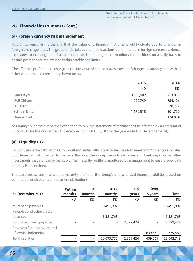## **28. Financial instruments (Cont.)**

#### **(d) Foreign currency risk management**

Foreign currency risk is the risk that the value of a financial instrument will fluctuate due to changes in foreign exchange rates. The group undertakes certain transactions denominated in foreign currencies. Hence, exposures to exchange rate fluctuations arise. The management monitors the positions on a daily basis to ensure positions are maintained within established limits.

 The effect on profit (due to change in the fair value of net assets), as a result of change in currency rate, with all other variables held constant is shown below:

|                      | 2015                     |           |
|----------------------|--------------------------|-----------|
|                      | <b>KD</b>                | <b>KD</b> |
| Saudi Riyal          | 10,368,902               | 9,213,053 |
| <b>UAE Dirham</b>    | 722,749                  | 854,106   |
| <b>US Dollar</b>     | $\overline{\phantom{a}}$ | 370,712   |
| <b>Bahrain Dinar</b> | 1,670,518                | 501,729   |
| Omani Riyal          |                          | 124,034   |

Assuming an increase in foreign exchange by 5%, the statement of income shall be affected by an amount of KD 638,811 for the year ended 31 December 2015 (KD 553,182 for the year ended 31 December 2014).

## **(e) Liquidity risk**

Liquidity risk is the risk that the Group will encounter difficulty in raising funds to meet commitments associated with financial instruments. To manage this risk, the Group periodically invests in bank deposits or other investments that are readily realisable. The maturity profile is monitored by management to ensure adequate liquidity is maintained.

The table below summarises the maturity profile of the Group's undiscounted financial liabilities based on contractual undiscounted repayment obligations.

|                              | <b>Within</b> | $1 - 3$   | $3 - 12$   | $1 - 5$                  | Over                     |              |
|------------------------------|---------------|-----------|------------|--------------------------|--------------------------|--------------|
| <b>31 December 2015</b>      | months        | months    | months     | <b>vears</b>             | 5 years                  | <b>Total</b> |
|                              | <b>KD</b>     | <b>KD</b> | <b>KD</b>  | <b>KD</b>                | <b>KD</b>                | <b>KD</b>    |
| Murabaha payables            |               |           | 18,491,992 |                          | $\overline{\phantom{a}}$ | 18,491,992   |
| Payables and other credit    |               |           |            |                          |                          |              |
| balances                     |               |           | 1,581,763  |                          | $\overline{\phantom{a}}$ | 1,581,763    |
| Purchase of land payables    |               |           | -          | 2,329,424                | -                        | 2,329,424    |
| Provision for employees' end |               |           |            |                          |                          |              |
| of service indemnity         |               |           |            | $\overline{\phantom{a}}$ | 639,569                  | 639,569      |
| <b>Total liabilities</b>     |               |           | 20,073,755 | 2,329,424                | 639,569                  | 23,042,748   |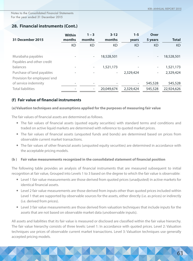## **28. Financial instruments (Cont.)**

|                              | <b>Within</b> | $1 - 3$   | $3 - 12$   | $1 - 5$      | <b>Over</b> |              |
|------------------------------|---------------|-----------|------------|--------------|-------------|--------------|
| <b>31 December 2015</b>      | months        | months    | months     | <b>years</b> | 5 years     | <b>Total</b> |
|                              | <b>KD</b>     | <b>KD</b> | <b>KD</b>  | <b>KD</b>    | <b>KD</b>   | <b>KD</b>    |
|                              |               |           |            |              |             |              |
| Murabaha payables            |               |           | 18,528,501 |              |             | 18,528,501   |
| Payables and other credit    |               |           |            |              |             |              |
| balances                     |               |           | 1,521,173  |              |             | 1,521,173    |
| Purchase of land payables    |               |           | -          | 2,329,424    |             | 2,329,424    |
| Provision for employees' end |               |           |            |              |             |              |
| of service indemnity         |               |           |            | -            | 545,528     | 545,528      |
| <b>Total liabilities</b>     |               |           | 20,049,674 | 2,329,424    | 545,528     | 22,924,626   |

#### **(f) Fair value of financial instruments**

#### **(a)Valuation techniques and assumptions applied for the purposes of measuring fair value**

The fair values of financial assets are determined as follows.

- The fair values of financial assets (quoted equity securities) with standard terms and conditions and traded on active liquid markets are determined with reference to quoted market prices.
- The fair values of financial assets (unquoted funds and bonds) are determined based on prices from observable current market transactions.
- The fair values of other financial assets (unquoted equity securities) are determined in accordance with the acceptable pricing models.

#### **(b ) Fair value measurements recognized in the consolidated statement of financial position**

The following table provides an analysis of financial instruments that are measured subsequent to initial recognition at fair value, Grouped into Levels 1 to 3 based on the degree to which the fair value is observable:

- Level 1 fair value measurements are those derived from quoted prices (unadjusted) in active markets for identical financial assets.
- Level 2 fair value measurements are those derived from inputs other than quoted prices included within Level 1 that are supported by observable sources for the assets, either directly (i.e. as prices) or indirectly (i.e. derived from prices).
- Level 3 fair value measurements are those derived from valuation techniques that include inputs for the assets that are not based on observable market data (unobservable inputs).

All assets and liabilities that its fair value is measured or disclosed are classified within the fair value hierarchy. The fair value hierarchy consists of three levels: Level 1: In accordance with quoted prices. Level 2: Valuation techniques use prices of observable current market transactions. Level 3: Valuation techniques use generally accepted pricing models.